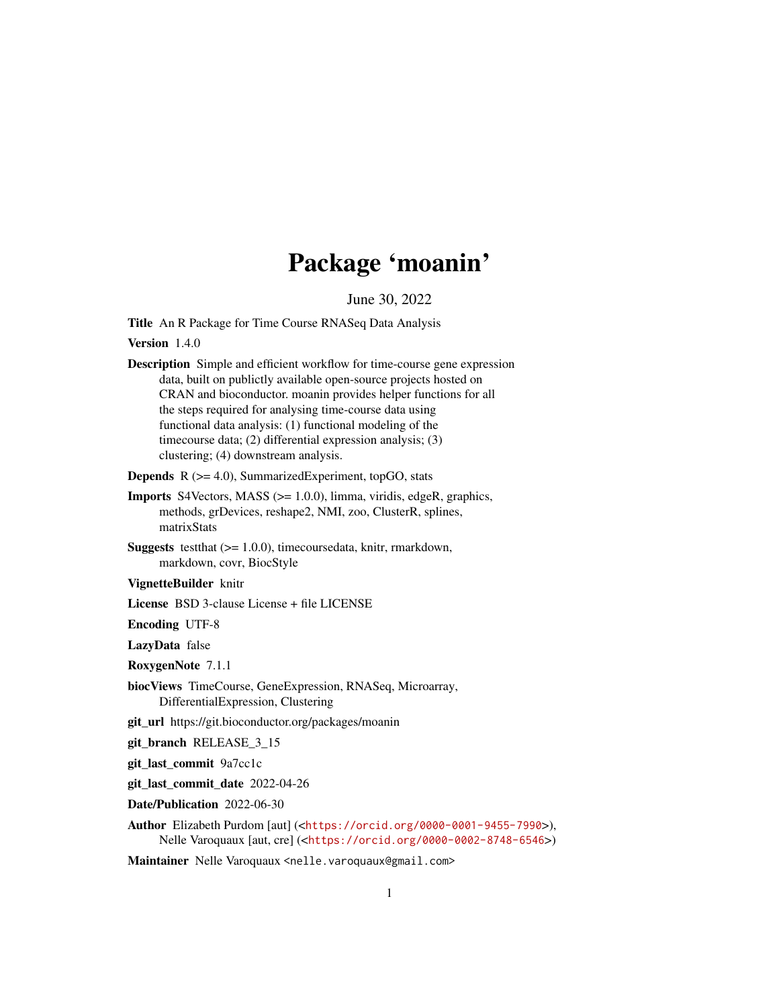# Package 'moanin'

June 30, 2022

<span id="page-0-0"></span>Title An R Package for Time Course RNASeq Data Analysis

Version 1.4.0

Description Simple and efficient workflow for time-course gene expression data, built on publictly available open-source projects hosted on CRAN and bioconductor. moanin provides helper functions for all the steps required for analysing time-course data using functional data analysis: (1) functional modeling of the timecourse data; (2) differential expression analysis; (3) clustering; (4) downstream analysis.

**Depends**  $R$  ( $>= 4.0$ ), SummarizedExperiment, topGO, stats

- Imports S4Vectors, MASS (>= 1.0.0), limma, viridis, edgeR, graphics, methods, grDevices, reshape2, NMI, zoo, ClusterR, splines, matrixStats
- **Suggests** test that  $(>= 1.0.0)$ , time coursed at a, knitr, rmarkdown, markdown, covr, BiocStyle

VignetteBuilder knitr

License BSD 3-clause License + file LICENSE

Encoding UTF-8

LazyData false

RoxygenNote 7.1.1

biocViews TimeCourse, GeneExpression, RNASeq, Microarray, DifferentialExpression, Clustering

git\_url https://git.bioconductor.org/packages/moanin

git branch RELEASE 3 15

git\_last\_commit 9a7cc1c

git\_last\_commit\_date 2022-04-26

Date/Publication 2022-06-30

Author Elizabeth Purdom [aut] (<<https://orcid.org/0000-0001-9455-7990>>), Nelle Varoquaux [aut, cre] (<<https://orcid.org/0000-0002-8748-6546>>)

Maintainer Nelle Varoquaux <nelle.varoquaux@gmail.com>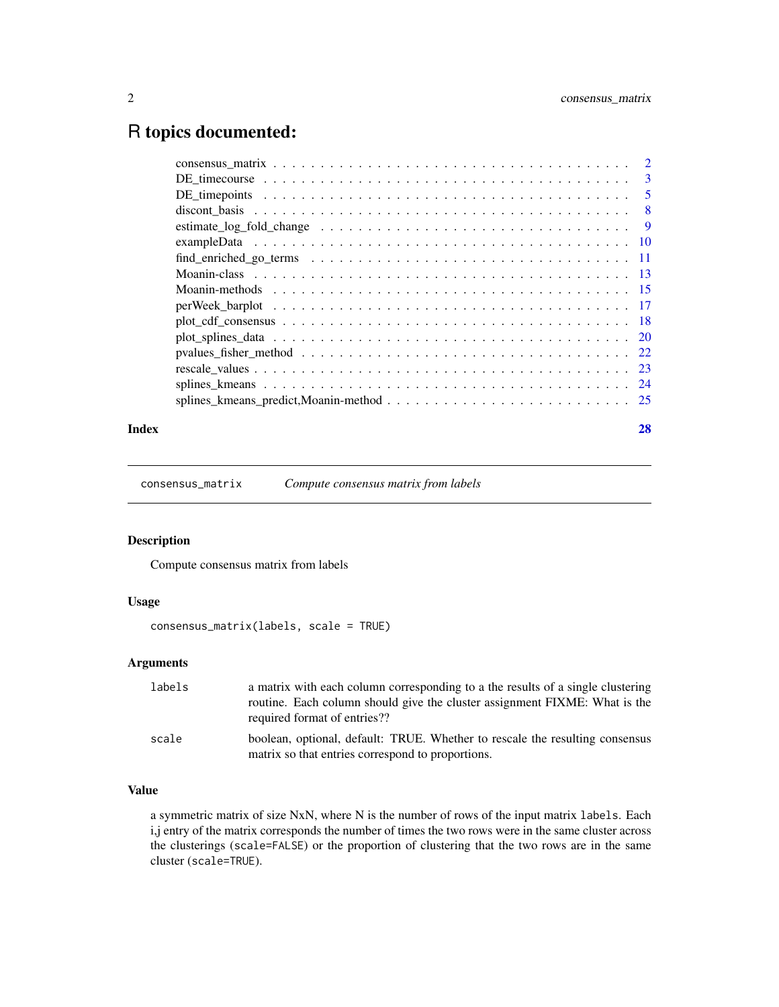# <span id="page-1-0"></span>R topics documented:

| Index |                                                                                                          | 28 |
|-------|----------------------------------------------------------------------------------------------------------|----|
|       |                                                                                                          |    |
|       |                                                                                                          |    |
|       |                                                                                                          |    |
|       |                                                                                                          |    |
|       |                                                                                                          |    |
|       |                                                                                                          |    |
|       |                                                                                                          |    |
|       |                                                                                                          |    |
|       |                                                                                                          |    |
|       |                                                                                                          |    |
|       |                                                                                                          |    |
|       | estimate_log_fold_change $\dots \dots \dots \dots \dots \dots \dots \dots \dots \dots \dots \dots \dots$ |    |
|       |                                                                                                          |    |
|       |                                                                                                          |    |
|       |                                                                                                          |    |
|       |                                                                                                          |    |

<span id="page-1-1"></span>consensus\_matrix *Compute consensus matrix from labels*

# Description

Compute consensus matrix from labels

# Usage

consensus\_matrix(labels, scale = TRUE)

# Arguments

| labels | a matrix with each column corresponding to a the results of a single clustering<br>routine. Each column should give the cluster assignment FIXME: What is the<br>required format of entries?? |
|--------|-----------------------------------------------------------------------------------------------------------------------------------------------------------------------------------------------|
| scale  | boolean, optional, default: TRUE. Whether to rescale the resulting consensus<br>matrix so that entries correspond to proportions.                                                             |

# Value

a symmetric matrix of size NxN, where N is the number of rows of the input matrix labels. Each i,j entry of the matrix corresponds the number of times the two rows were in the same cluster across the clusterings (scale=FALSE) or the proportion of clustering that the two rows are in the same cluster (scale=TRUE).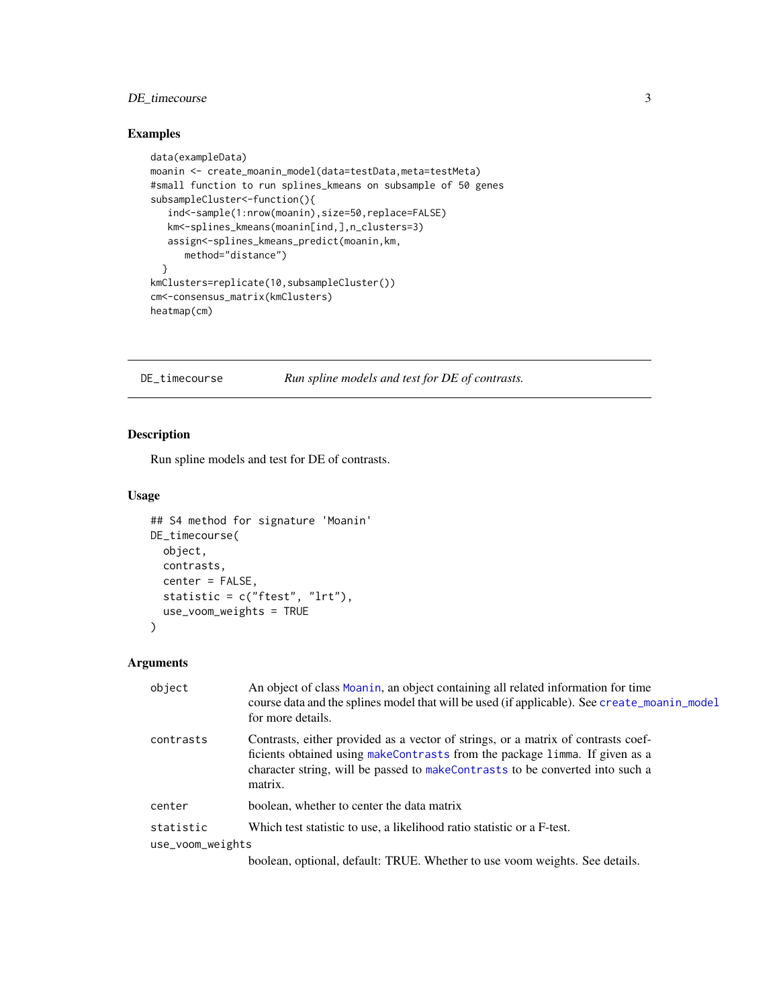# <span id="page-2-0"></span>DE\_timecourse 3

# Examples

```
data(exampleData)
moanin <- create_moanin_model(data=testData,meta=testMeta)
#small function to run splines_kmeans on subsample of 50 genes
subsampleCluster<-function(){
   ind<-sample(1:nrow(moanin),size=50,replace=FALSE)
   km<-splines_kmeans(moanin[ind,],n_clusters=3)
   assign<-splines_kmeans_predict(moanin,km,
     method="distance")
  }
kmClusters=replicate(10,subsampleCluster())
cm<-consensus_matrix(kmClusters)
heatmap(cm)
```
DE\_timecourse *Run spline models and test for DE of contrasts.*

# Description

Run spline models and test for DE of contrasts.

# Usage

```
## S4 method for signature 'Moanin'
DE_timecourse(
  object,
  contrasts,
  center = FALSE,
  statistic = c("ftest", "lrt"),
  use_voom_weights = TRUE
)
```

| object           | An object of class Moanin, an object containing all related information for time<br>course data and the splines model that will be used (if applicable). See create_moanin_model<br>for more details.                                                        |
|------------------|--------------------------------------------------------------------------------------------------------------------------------------------------------------------------------------------------------------------------------------------------------------|
| contrasts        | Contrasts, either provided as a vector of strings, or a matrix of contrasts coef-<br>ficients obtained using makeContrasts from the package limma. If given as a<br>character string, will be passed to makeContrasts to be converted into such a<br>matrix. |
| center           | boolean, whether to center the data matrix                                                                                                                                                                                                                   |
| statistic        | Which test statistic to use, a likelihood ratio statistic or a F-test.                                                                                                                                                                                       |
| use_voom_weights |                                                                                                                                                                                                                                                              |
|                  | boolean, optional, default: TRUE. Whether to use voom weights. See details.                                                                                                                                                                                  |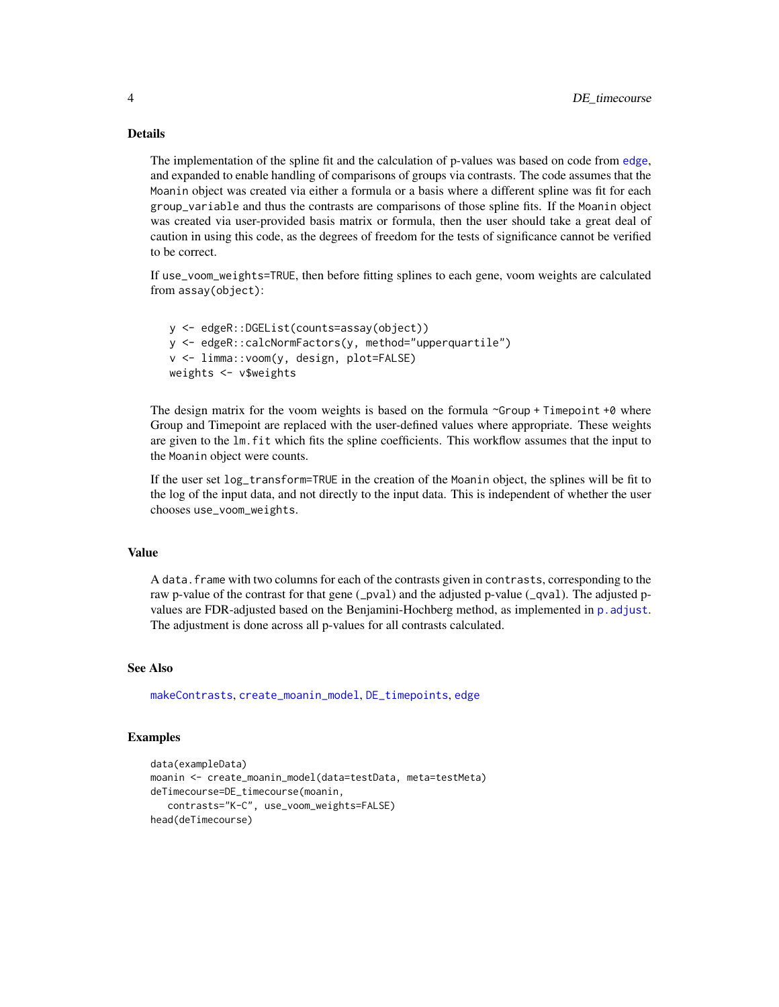The implementation of the spline fit and the calculation of p-values was based on code from [edge](#page-0-0), and expanded to enable handling of comparisons of groups via contrasts. The code assumes that the Moanin object was created via either a formula or a basis where a different spline was fit for each group\_variable and thus the contrasts are comparisons of those spline fits. If the Moanin object was created via user-provided basis matrix or formula, then the user should take a great deal of caution in using this code, as the degrees of freedom for the tests of significance cannot be verified to be correct.

If use\_voom\_weights=TRUE, then before fitting splines to each gene, voom weights are calculated from assay(object):

```
y <- edgeR::DGEList(counts=assay(object))
y <- edgeR::calcNormFactors(y, method="upperquartile")
v <- limma::voom(y, design, plot=FALSE)
weights <- v$weights
```
The design matrix for the voom weights is based on the formula  $\sim$ Group + Timepoint +0 where Group and Timepoint are replaced with the user-defined values where appropriate. These weights are given to the lm.fit which fits the spline coefficients. This workflow assumes that the input to the Moanin object were counts.

If the user set log\_transform=TRUE in the creation of the Moanin object, the splines will be fit to the log of the input data, and not directly to the input data. This is independent of whether the user chooses use\_voom\_weights.

#### Value

A data. frame with two columns for each of the contrasts given in contrasts, corresponding to the raw p-value of the contrast for that gene (\_pval) and the adjusted p-value (\_qval). The adjusted pvalues are FDR-adjusted based on the Benjamini-Hochberg method, as implemented in [p.adjust](#page-0-0). The adjustment is done across all p-values for all contrasts calculated.

# See Also

[makeContrasts](#page-0-0), [create\\_moanin\\_model](#page-12-1), [DE\\_timepoints](#page-4-1), [edge](#page-0-0)

# Examples

```
data(exampleData)
moanin <- create_moanin_model(data=testData, meta=testMeta)
deTimecourse=DE_timecourse(moanin,
   contrasts="K-C", use_voom_weights=FALSE)
head(deTimecourse)
```
<span id="page-3-0"></span>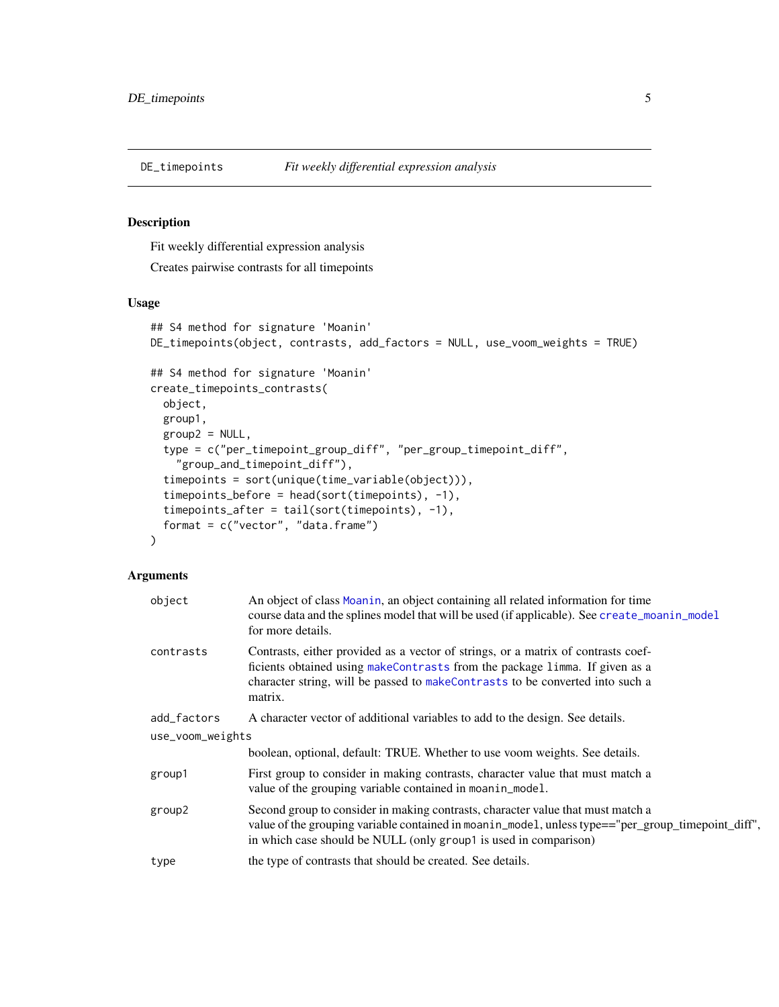<span id="page-4-1"></span><span id="page-4-0"></span>

# Description

Fit weekly differential expression analysis

Creates pairwise contrasts for all timepoints

# Usage

```
## S4 method for signature 'Moanin'
DE_timepoints(object, contrasts, add_factors = NULL, use_voom_weights = TRUE)
## S4 method for signature 'Moanin'
create_timepoints_contrasts(
 object,
  group1,
  group2 = NULL,
  type = c("per_timepoint_group_diff", "per_group_timepoint_diff",
    "group_and_timepoint_diff"),
  timepoints = sort(unique(time_variable(object))),
  timepoints_before = head(sort(timepoints), -1),
  timepoints_after = tail(sort(timepoints), -1),
  format = c("vector", "data-frame")\lambda
```

| object           | An object of class Moanin, an object containing all related information for time<br>course data and the splines model that will be used (if applicable). See create_moanin_model<br>for more details.                                                        |
|------------------|--------------------------------------------------------------------------------------------------------------------------------------------------------------------------------------------------------------------------------------------------------------|
| contrasts        | Contrasts, either provided as a vector of strings, or a matrix of contrasts coef-<br>ficients obtained using makeContrasts from the package limma. If given as a<br>character string, will be passed to makeContrasts to be converted into such a<br>matrix. |
| add_factors      | A character vector of additional variables to add to the design. See details.                                                                                                                                                                                |
| use_voom_weights |                                                                                                                                                                                                                                                              |
|                  | boolean, optional, default: TRUE. Whether to use voom weights. See details.                                                                                                                                                                                  |
| group1           | First group to consider in making contrasts, character value that must match a<br>value of the grouping variable contained in moanin_model.                                                                                                                  |
| group2           | Second group to consider in making contrasts, character value that must match a<br>value of the grouping variable contained in moanin_mode1, unless type=="per_group_timepoint_diff",<br>in which case should be NULL (only group1 is used in comparison)    |
| type             | the type of contrasts that should be created. See details.                                                                                                                                                                                                   |
|                  |                                                                                                                                                                                                                                                              |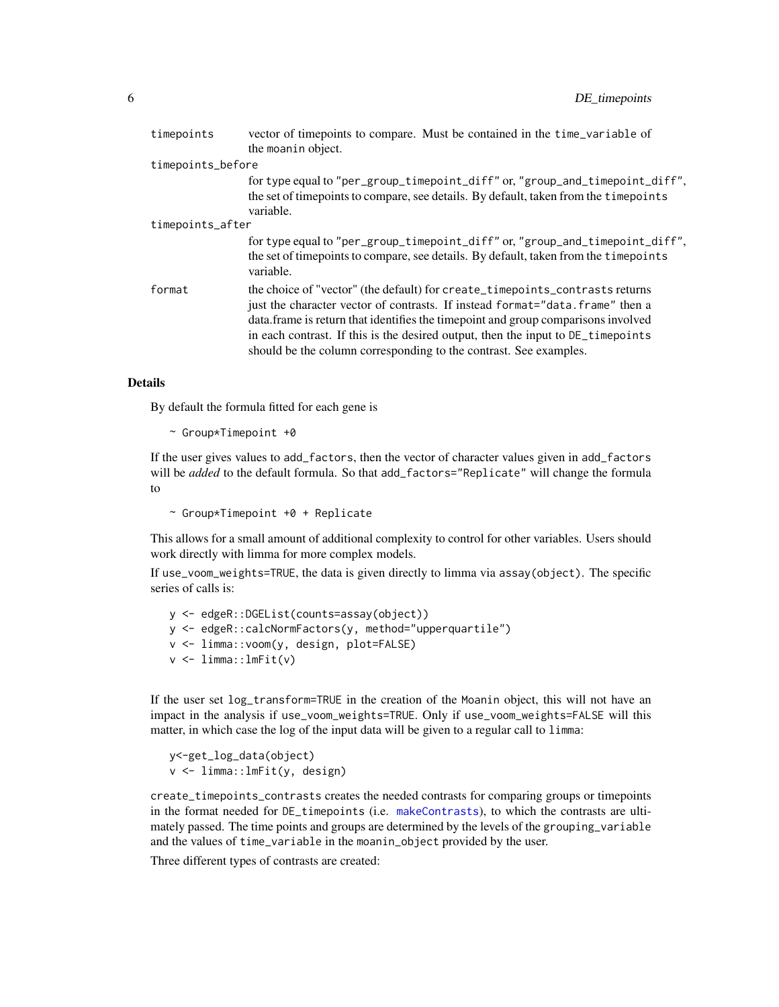| timepoints        | vector of timepoints to compare. Must be contained in the time_variable of<br>the moanin object.                                                                                                                                                                                                                                                                                                              |
|-------------------|---------------------------------------------------------------------------------------------------------------------------------------------------------------------------------------------------------------------------------------------------------------------------------------------------------------------------------------------------------------------------------------------------------------|
| timepoints_before |                                                                                                                                                                                                                                                                                                                                                                                                               |
|                   | for type equal to "per_group_timepoint_diff" or, "group_and_timepoint_diff",<br>the set of time points to compare, see details. By default, taken from the time points<br>variable.                                                                                                                                                                                                                           |
| timepoints_after  |                                                                                                                                                                                                                                                                                                                                                                                                               |
|                   | for type equal to "per_group_timepoint_diff" or, "group_and_timepoint_diff",<br>the set of time points to compare, see details. By default, taken from the time points<br>variable.                                                                                                                                                                                                                           |
| format            | the choice of "vector" (the default) for create_timepoints_contrasts returns<br>just the character vector of contrasts. If instead format="data.frame" then a<br>data. frame is return that identifies the timepoint and group comparisons involved<br>in each contrast. If this is the desired output, then the input to DE time points<br>should be the column corresponding to the contrast. See examples. |

By default the formula fitted for each gene is

```
\sim Group*Timepoint +0
```
If the user gives values to add\_factors, then the vector of character values given in add\_factors will be *added* to the default formula. So that add\_factors="Replicate" will change the formula to

~ Group\*Timepoint +0 + Replicate

This allows for a small amount of additional complexity to control for other variables. Users should work directly with limma for more complex models.

If use\_voom\_weights=TRUE, the data is given directly to limma via assay(object). The specific series of calls is:

```
y <- edgeR::DGEList(counts=assay(object))
y <- edgeR::calcNormFactors(y, method="upperquartile")
v <- limma::voom(y, design, plot=FALSE)
v \le limma:: lmFit(v)
```
If the user set log\_transform=TRUE in the creation of the Moanin object, this will not have an impact in the analysis if use\_voom\_weights=TRUE. Only if use\_voom\_weights=FALSE will this matter, in which case the log of the input data will be given to a regular call to limma:

```
y<-get_log_data(object)
v <- limma::lmFit(y, design)
```
create\_timepoints\_contrasts creates the needed contrasts for comparing groups or timepoints in the format needed for DE\_timepoints (i.e. [makeContrasts](#page-0-0)), to which the contrasts are ultimately passed. The time points and groups are determined by the levels of the grouping\_variable and the values of time\_variable in the moanin\_object provided by the user.

Three different types of contrasts are created: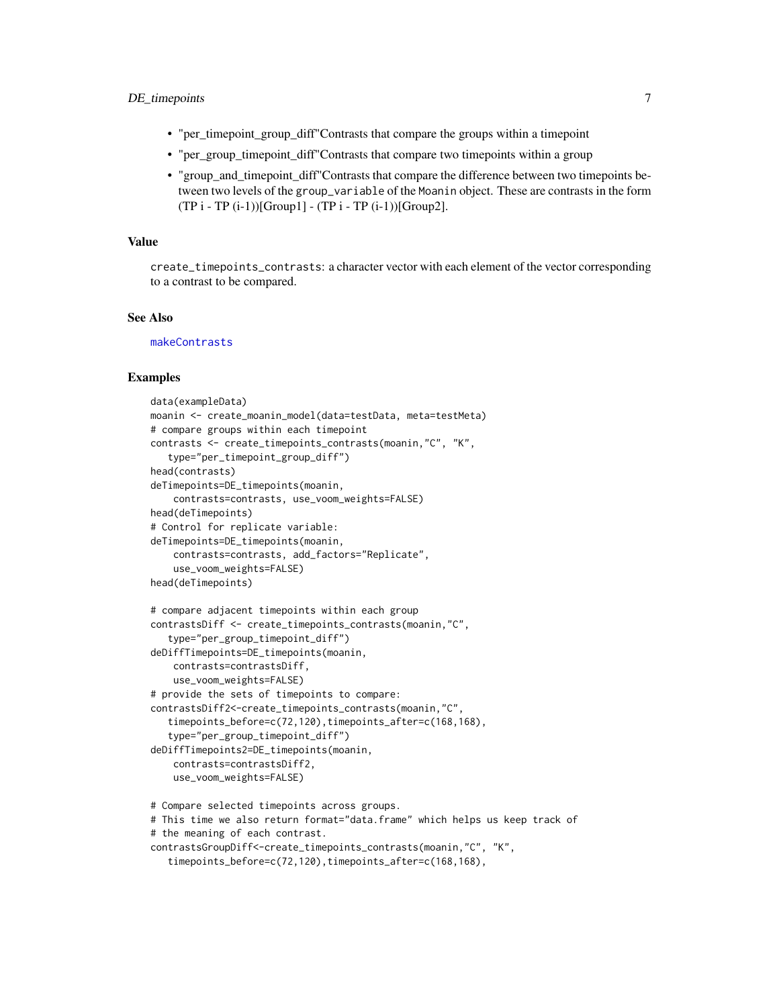# <span id="page-6-0"></span>DE\_timepoints 7

- "per\_timepoint\_group\_diff"Contrasts that compare the groups within a timepoint
- "per\_group\_timepoint\_diff"Contrasts that compare two timepoints within a group
- "group\_and\_timepoint\_diff"Contrasts that compare the difference between two timepoints between two levels of the group\_variable of the Moanin object. These are contrasts in the form  $(TP i - TP (i-1))$ [Group1] -  $(TP i - TP (i-1))$ [Group2].

#### Value

create\_timepoints\_contrasts: a character vector with each element of the vector corresponding to a contrast to be compared.

#### See Also

[makeContrasts](#page-0-0)

#### Examples

```
data(exampleData)
moanin <- create_moanin_model(data=testData, meta=testMeta)
# compare groups within each timepoint
contrasts <- create_timepoints_contrasts(moanin,"C", "K",
   type="per_timepoint_group_diff")
head(contrasts)
deTimepoints=DE_timepoints(moanin,
    contrasts=contrasts, use_voom_weights=FALSE)
head(deTimepoints)
# Control for replicate variable:
deTimepoints=DE_timepoints(moanin,
    contrasts=contrasts, add_factors="Replicate",
    use_voom_weights=FALSE)
head(deTimepoints)
# compare adjacent timepoints within each group
contrastsDiff <- create_timepoints_contrasts(moanin,"C",
   type="per_group_timepoint_diff")
deDiffTimepoints=DE_timepoints(moanin,
    contrasts=contrastsDiff,
    use_voom_weights=FALSE)
# provide the sets of timepoints to compare:
contrastsDiff2<-create_timepoints_contrasts(moanin,"C",
   timepoints_before=c(72,120),timepoints_after=c(168,168),
   type="per_group_timepoint_diff")
deDiffTimepoints2=DE_timepoints(moanin,
    contrasts=contrastsDiff2,
    use_voom_weights=FALSE)
# Compare selected timepoints across groups.
# This time we also return format="data.frame" which helps us keep track of
```

```
# the meaning of each contrast.
```

```
contrastsGroupDiff<-create_timepoints_contrasts(moanin,"C", "K",
```

```
timepoints_before=c(72,120),timepoints_after=c(168,168),
```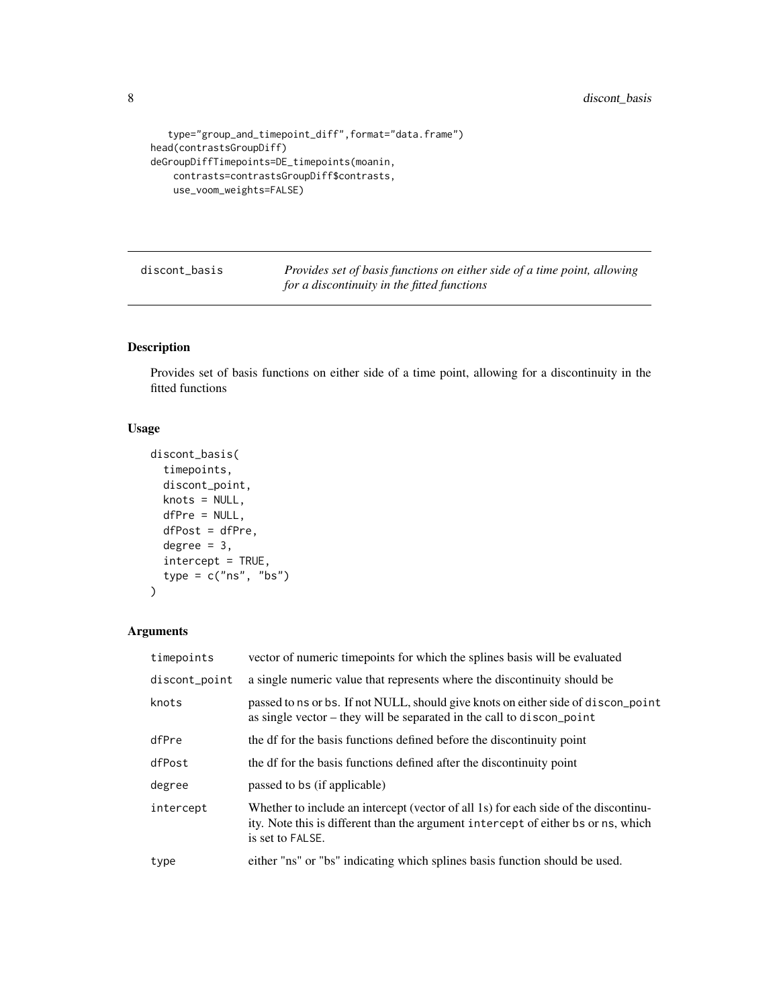```
type="group_and_timepoint_diff",format="data.frame")
head(contrastsGroupDiff)
deGroupDiffTimepoints=DE_timepoints(moanin,
   contrasts=contrastsGroupDiff$contrasts,
   use_voom_weights=FALSE)
```
discont\_basis *Provides set of basis functions on either side of a time point, allowing for a discontinuity in the fitted functions*

# Description

Provides set of basis functions on either side of a time point, allowing for a discontinuity in the fitted functions

# Usage

```
discont_basis(
  timepoints,
  discont_point,
  knots = NULL,
  dfPre = NULL,
  dfPost = dfPre,
  degree = 3,
  intercept = TRUE,
  type = c("ns", "bs"))
```

| timepoints    | vector of numeric timepoints for which the splines basis will be evaluated                                                                                                                   |
|---------------|----------------------------------------------------------------------------------------------------------------------------------------------------------------------------------------------|
| discont_point | a single numeric value that represents where the discontinuity should be                                                                                                                     |
| knots         | passed to ns or bs. If not NULL, should give knots on either side of discon-point<br>as single vector – they will be separated in the call to discon-point                                   |
| dfPre         | the df for the basis functions defined before the discontinuity point                                                                                                                        |
| dfPost        | the df for the basis functions defined after the discontinuity point                                                                                                                         |
| degree        | passed to bs (if applicable)                                                                                                                                                                 |
| intercept     | Whether to include an intercept (vector of all 1s) for each side of the discontinu-<br>ity. Note this is different than the argument intercept of either bs or ns, which<br>is set to FALSE. |
| type          | either "ns" or "bs" indicating which splines basis function should be used.                                                                                                                  |
|               |                                                                                                                                                                                              |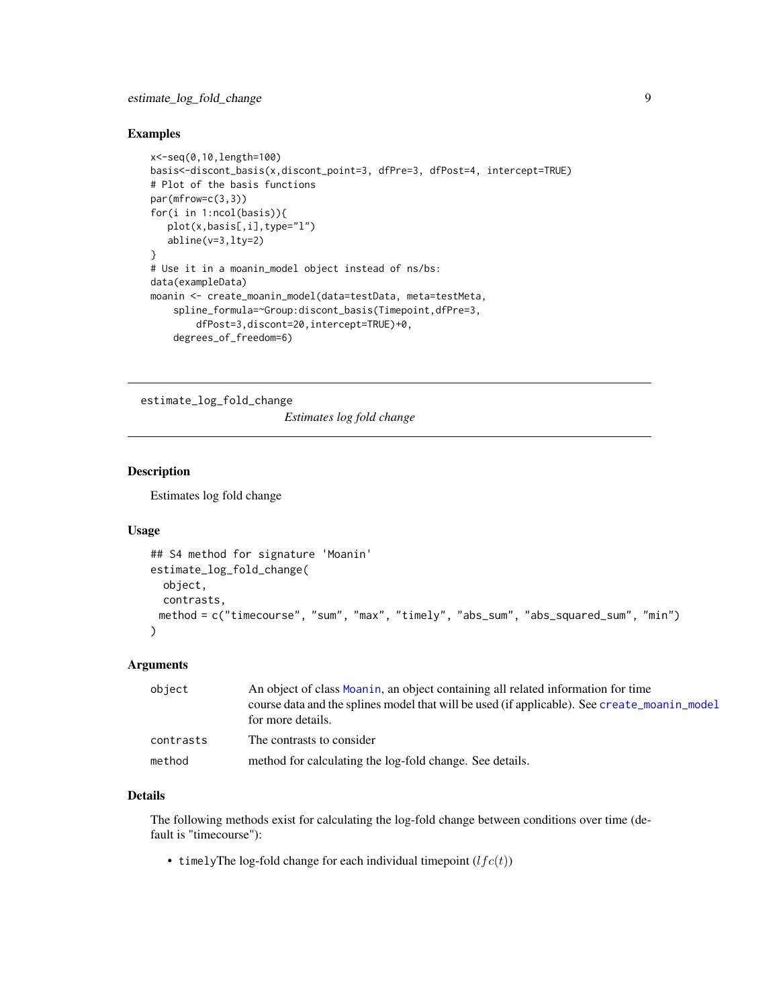#### <span id="page-8-0"></span>Examples

```
x<-seq(0,10,length=100)
basis<-discont_basis(x,discont_point=3, dfPre=3, dfPost=4, intercept=TRUE)
# Plot of the basis functions
par(mfrow=c(3,3))
for(i in 1:ncol(basis)){
  plot(x,basis[,i],type="l")
   abline(v=3,lty=2)
}
# Use it in a moanin_model object instead of ns/bs:
data(exampleData)
moanin <- create_moanin_model(data=testData, meta=testMeta,
    spline_formula=~Group:discont_basis(Timepoint,dfPre=3,
       dfPost=3,discont=20,intercept=TRUE)+0,
    degrees_of_freedom=6)
```
estimate\_log\_fold\_change

*Estimates log fold change*

# Description

Estimates log fold change

# Usage

```
## S4 method for signature 'Moanin'
estimate_log_fold_change(
  object,
  contrasts,
 method = c("timecourse", "sum", "max", "timely", "abs_sum", "abs_squared_sum", "min")
)
```
# Arguments

| object    | An object of class Moanin, an object containing all related information for time<br>course data and the splines model that will be used (if applicable). See create_moanin_model<br>for more details. |  |
|-----------|-------------------------------------------------------------------------------------------------------------------------------------------------------------------------------------------------------|--|
| contrasts | The contrasts to consider                                                                                                                                                                             |  |
| method    | method for calculating the log-fold change. See details.                                                                                                                                              |  |

# Details

The following methods exist for calculating the log-fold change between conditions over time (default is "timecourse"):

• timelyThe log-fold change for each individual timepoint  $(lfc(t))$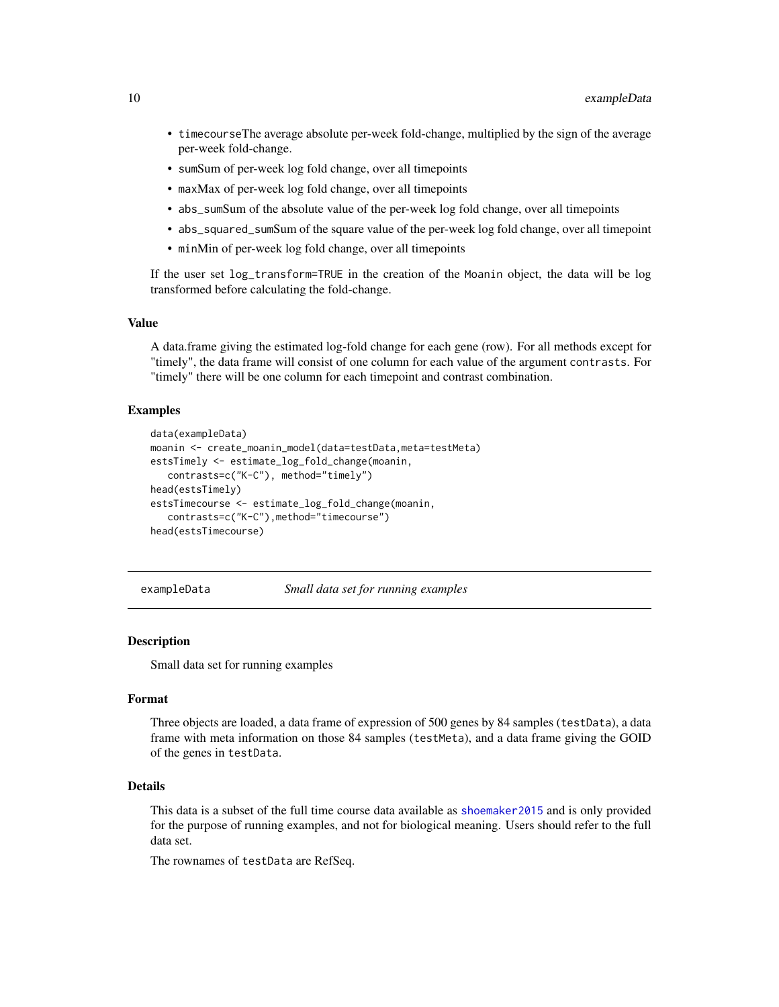- <span id="page-9-0"></span>• timecourseThe average absolute per-week fold-change, multiplied by the sign of the average per-week fold-change.
- sumSum of per-week log fold change, over all timepoints
- maxMax of per-week log fold change, over all timepoints
- abs\_sumSum of the absolute value of the per-week log fold change, over all timepoints
- abs\_squared\_sumSum of the square value of the per-week log fold change, over all timepoint
- minMin of per-week log fold change, over all timepoints

If the user set log\_transform=TRUE in the creation of the Moanin object, the data will be log transformed before calculating the fold-change.

# Value

A data.frame giving the estimated log-fold change for each gene (row). For all methods except for "timely", the data frame will consist of one column for each value of the argument contrasts. For "timely" there will be one column for each timepoint and contrast combination.

#### Examples

```
data(exampleData)
moanin <- create_moanin_model(data=testData,meta=testMeta)
estsTimely <- estimate_log_fold_change(moanin,
   contrasts=c("K-C"), method="timely")
head(estsTimely)
estsTimecourse <- estimate_log_fold_change(moanin,
   contrasts=c("K-C"),method="timecourse")
head(estsTimecourse)
```
exampleData *Small data set for running examples*

#### **Description**

Small data set for running examples

# Format

Three objects are loaded, a data frame of expression of 500 genes by 84 samples (testData), a data frame with meta information on those 84 samples (testMeta), and a data frame giving the GOID of the genes in testData.

# **Details**

This data is a subset of the full time course data available as [shoemaker2015](#page-0-0) and is only provided for the purpose of running examples, and not for biological meaning. Users should refer to the full data set.

The rownames of testData are RefSeq.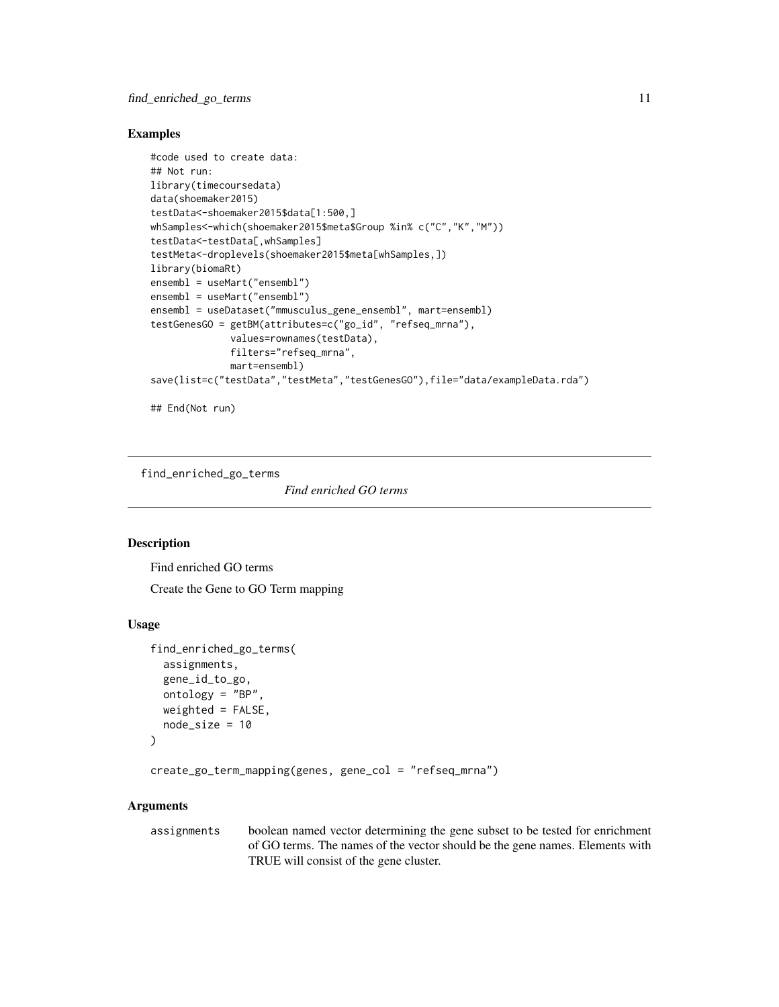# <span id="page-10-0"></span>Examples

```
#code used to create data:
## Not run:
library(timecoursedata)
data(shoemaker2015)
testData<-shoemaker2015$data[1:500,]
whSamples<-which(shoemaker2015$meta$Group %in% c("C","K","M"))
testData<-testData[,whSamples]
testMeta<-droplevels(shoemaker2015$meta[whSamples,])
library(biomaRt)
ensembl = useMart("ensembl")
ensembl = useMart("ensembl")
ensembl = useDataset("mmusculus_gene_ensembl", mart=ensembl)
testGenesGO = getBM(attributes=c("go_id", "refseq_mrna"),
              values=rownames(testData),
              filters="refseq_mrna",
              mart=ensembl)
save(list=c("testData","testMeta","testGenesGO"),file="data/exampleData.rda")
## End(Not run)
```
find\_enriched\_go\_terms

*Find enriched GO terms*

# <span id="page-10-1"></span>**Description**

Find enriched GO terms

Create the Gene to GO Term mapping

#### Usage

```
find_enriched_go_terms(
  assignments,
  gene_id_to_go,
 ontology = "BP",
 weighted = FALSE,node_size = 10
)
```
create\_go\_term\_mapping(genes, gene\_col = "refseq\_mrna")

### Arguments

assignments boolean named vector determining the gene subset to be tested for enrichment of GO terms. The names of the vector should be the gene names. Elements with TRUE will consist of the gene cluster.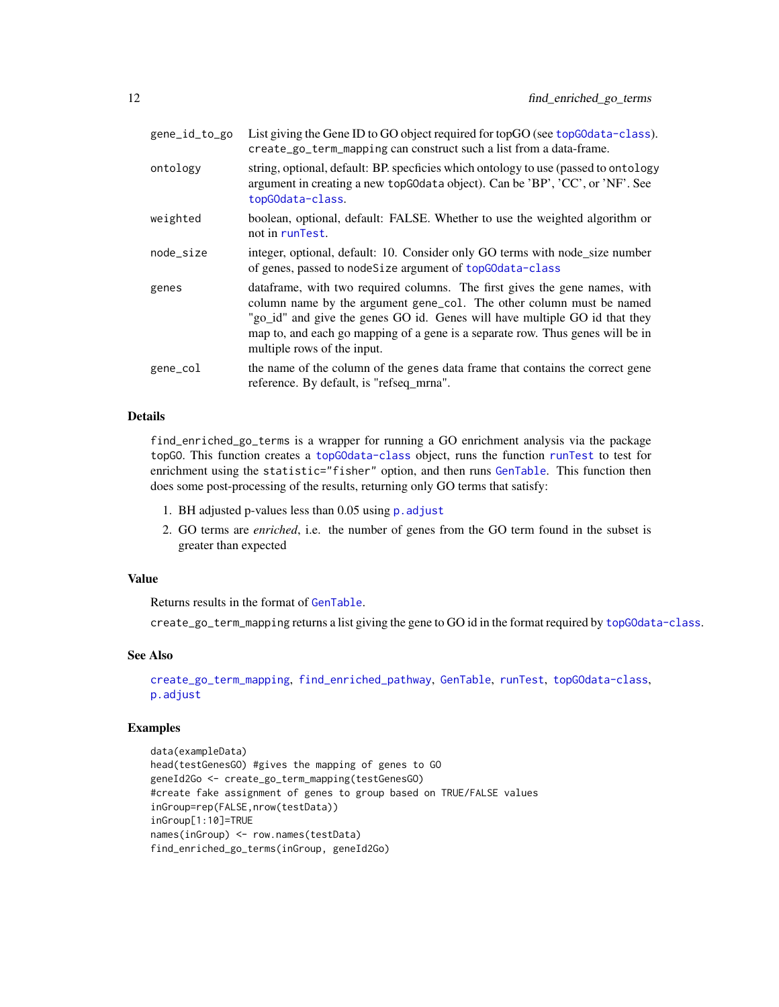<span id="page-11-0"></span>

| gene_id_to_go | List giving the Gene ID to GO object required for topGO (see topGOdata-class).<br>create_go_term_mapping can construct such a list from a data-frame.                                                                                                                                                                                             |
|---------------|---------------------------------------------------------------------------------------------------------------------------------------------------------------------------------------------------------------------------------------------------------------------------------------------------------------------------------------------------|
| ontology      | string, optional, default: BP. specficies which ontology to use (passed to ontology<br>argument in creating a new topG0data object). Can be 'BP', 'CC', or 'NF'. See<br>topGOdata-class.                                                                                                                                                          |
| weighted      | boolean, optional, default: FALSE. Whether to use the weighted algorithm or<br>not in runTest.                                                                                                                                                                                                                                                    |
| node_size     | integer, optional, default: 10. Consider only GO terms with node_size number<br>of genes, passed to nodeSize argument of topGOdata-class                                                                                                                                                                                                          |
| genes         | dataframe, with two required columns. The first gives the gene names, with<br>column name by the argument gene_col. The other column must be named<br>"go_id" and give the genes GO id. Genes will have multiple GO id that they<br>map to, and each go mapping of a gene is a separate row. Thus genes will be in<br>multiple rows of the input. |
| gene_col      | the name of the column of the genes data frame that contains the correct gene<br>reference. By default, is "refseq_mrna".                                                                                                                                                                                                                         |

find\_enriched\_go\_terms is a wrapper for running a GO enrichment analysis via the package topGO. This function creates a [topGOdata-class](#page-0-0) object, runs the function [runTest](#page-0-0) to test for enrichment using the statistic="fisher" option, and then runs [GenTable](#page-0-0). This function then does some post-processing of the results, returning only GO terms that satisfy:

- 1. BH adjusted p-values less than 0.05 using p. adjust
- 2. GO terms are *enriched*, i.e. the number of genes from the GO term found in the subset is greater than expected

#### Value

Returns results in the format of [GenTable](#page-0-0).

create\_go\_term\_mapping returns a list giving the gene to GO id in the format required by [topGOdata-class](#page-0-0).

# See Also

[create\\_go\\_term\\_mapping](#page-10-1), [find\\_enriched\\_pathway](#page-0-0), [GenTable](#page-0-0), [runTest](#page-0-0), [topGOdata-class](#page-0-0), [p.adjust](#page-0-0)

#### Examples

```
data(exampleData)
head(testGenesGO) #gives the mapping of genes to GO
geneId2Go <- create_go_term_mapping(testGenesGO)
#create fake assignment of genes to group based on TRUE/FALSE values
inGroup=rep(FALSE,nrow(testData))
inGroup[1:10]=TRUE
names(inGroup) <- row.names(testData)
find_enriched_go_terms(inGroup, geneId2Go)
```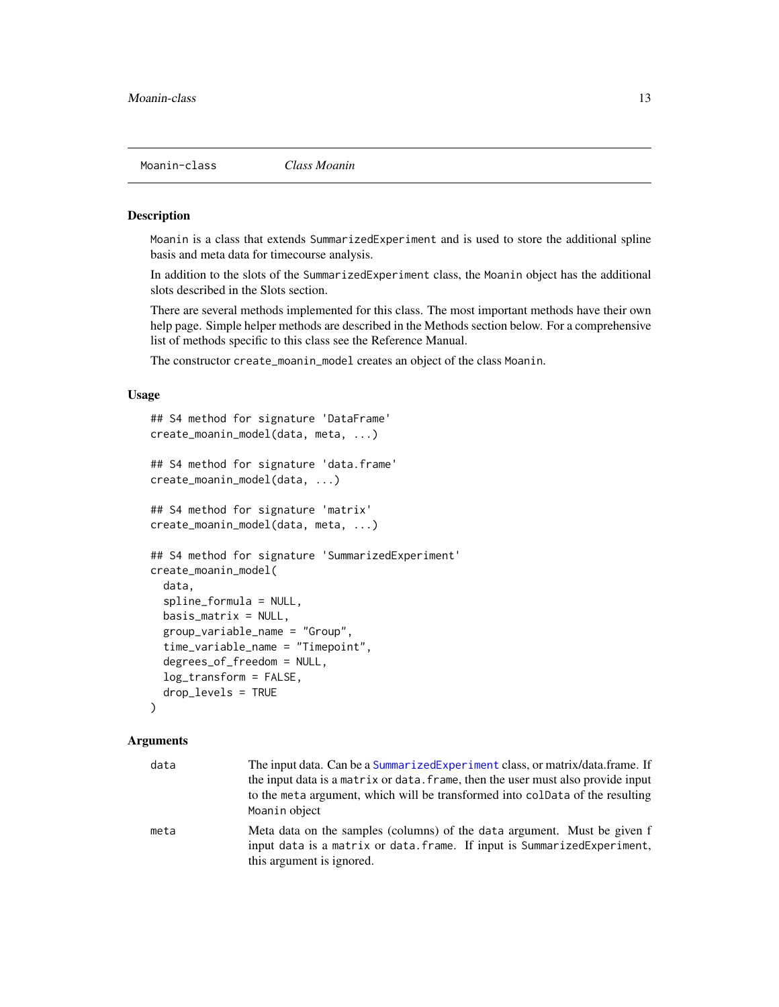<span id="page-12-0"></span>

# <span id="page-12-1"></span>Description

Moanin is a class that extends SummarizedExperiment and is used to store the additional spline basis and meta data for timecourse analysis.

In addition to the slots of the SummarizedExperiment class, the Moanin object has the additional slots described in the Slots section.

There are several methods implemented for this class. The most important methods have their own help page. Simple helper methods are described in the Methods section below. For a comprehensive list of methods specific to this class see the Reference Manual.

The constructor create\_moanin\_model creates an object of the class Moanin.

# Usage

```
## S4 method for signature 'DataFrame'
create_moanin_model(data, meta, ...)
## S4 method for signature 'data.frame'
create_moanin_model(data, ...)
## S4 method for signature 'matrix'
create_moanin_model(data, meta, ...)
## S4 method for signature 'SummarizedExperiment'
create_moanin_model(
  data,
  spline_formula = NULL,
  basis_matrix = NULL,
  group_variable_name = "Group",
  time_variable_name = "Timepoint",
  degrees_of_freedom = NULL,
  log_transform = FALSE,
  drop_levels = TRUE
```

```
)
```

| data | The input data. Can be a SummarizedExperiment class, or matrix/data.frame. If<br>the input data is a matrix or data. frame, then the user must also provide input<br>to the meta argument, which will be transformed into coldata of the resulting<br>Moanin object |
|------|---------------------------------------------------------------------------------------------------------------------------------------------------------------------------------------------------------------------------------------------------------------------|
| meta | Meta data on the samples (columns) of the data argument. Must be given f<br>input data is a matrix or data. frame. If input is SummarizedExperiment,<br>this argument is ignored.                                                                                   |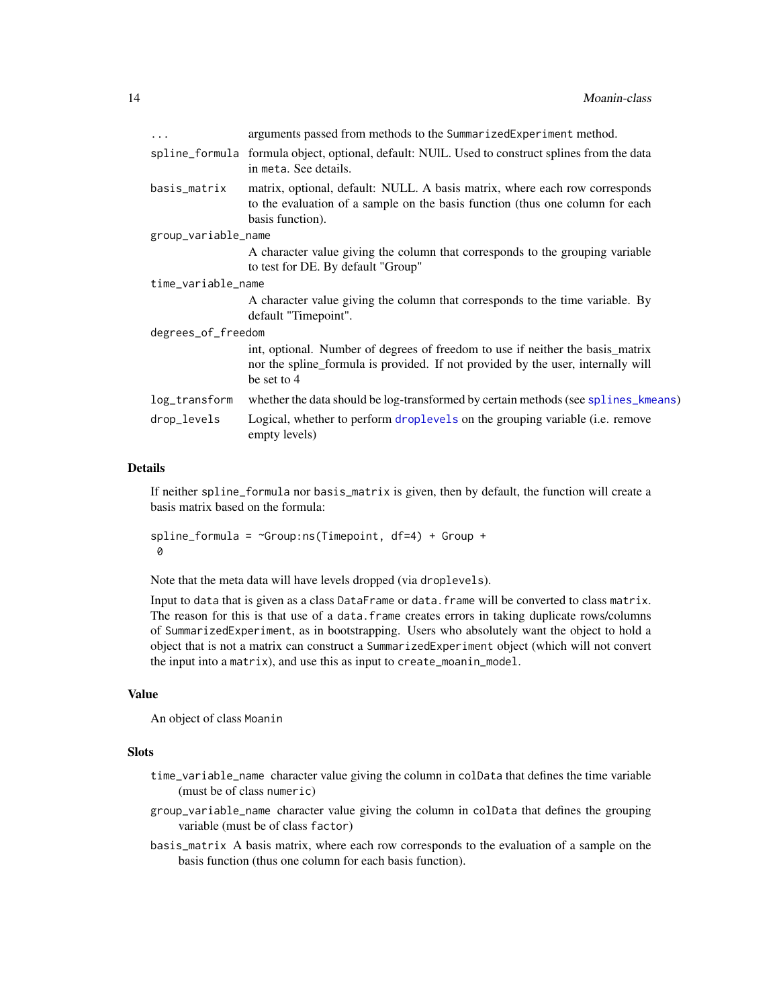<span id="page-13-0"></span>

| $\ddots$            | arguments passed from methods to the SummarizedExperiment method.                                                                                                                 |  |
|---------------------|-----------------------------------------------------------------------------------------------------------------------------------------------------------------------------------|--|
|                     | spline_formula formula object, optional, default: NUIL. Used to construct splines from the data<br>in meta. See details.                                                          |  |
| basis_matrix        | matrix, optional, default: NULL. A basis matrix, where each row corresponds<br>to the evaluation of a sample on the basis function (thus one column for each<br>basis function).  |  |
| group_variable_name |                                                                                                                                                                                   |  |
|                     | A character value giving the column that corresponds to the grouping variable<br>to test for DE. By default "Group"                                                               |  |
| time_variable_name  |                                                                                                                                                                                   |  |
|                     | A character value giving the column that corresponds to the time variable. By<br>default "Timepoint".                                                                             |  |
| degrees_of_freedom  |                                                                                                                                                                                   |  |
|                     | int, optional. Number of degrees of freedom to use if neither the basis matrix<br>nor the spline_formula is provided. If not provided by the user, internally will<br>be set to 4 |  |
| log_transform       | whether the data should be log-transformed by certain methods (see splines_kmeans)                                                                                                |  |
| drop_levels         | Logical, whether to perform droplevels on the grouping variable (i.e. remove<br>empty levels)                                                                                     |  |
|                     |                                                                                                                                                                                   |  |

If neither spline\_formula nor basis\_matrix is given, then by default, the function will create a basis matrix based on the formula:

```
spliter formula = \simGroup:ns(Timepoint, df=4) + Group +
0
```
Note that the meta data will have levels dropped (via droplevels).

Input to data that is given as a class DataFrame or data.frame will be converted to class matrix. The reason for this is that use of a data.frame creates errors in taking duplicate rows/columns of SummarizedExperiment, as in bootstrapping. Users who absolutely want the object to hold a object that is not a matrix can construct a SummarizedExperiment object (which will not convert the input into a matrix), and use this as input to create\_moanin\_model.

#### Value

An object of class Moanin

#### **Slots**

- time\_variable\_name character value giving the column in colData that defines the time variable (must be of class numeric)
- group\_variable\_name character value giving the column in colData that defines the grouping variable (must be of class factor)
- basis\_matrix A basis matrix, where each row corresponds to the evaluation of a sample on the basis function (thus one column for each basis function).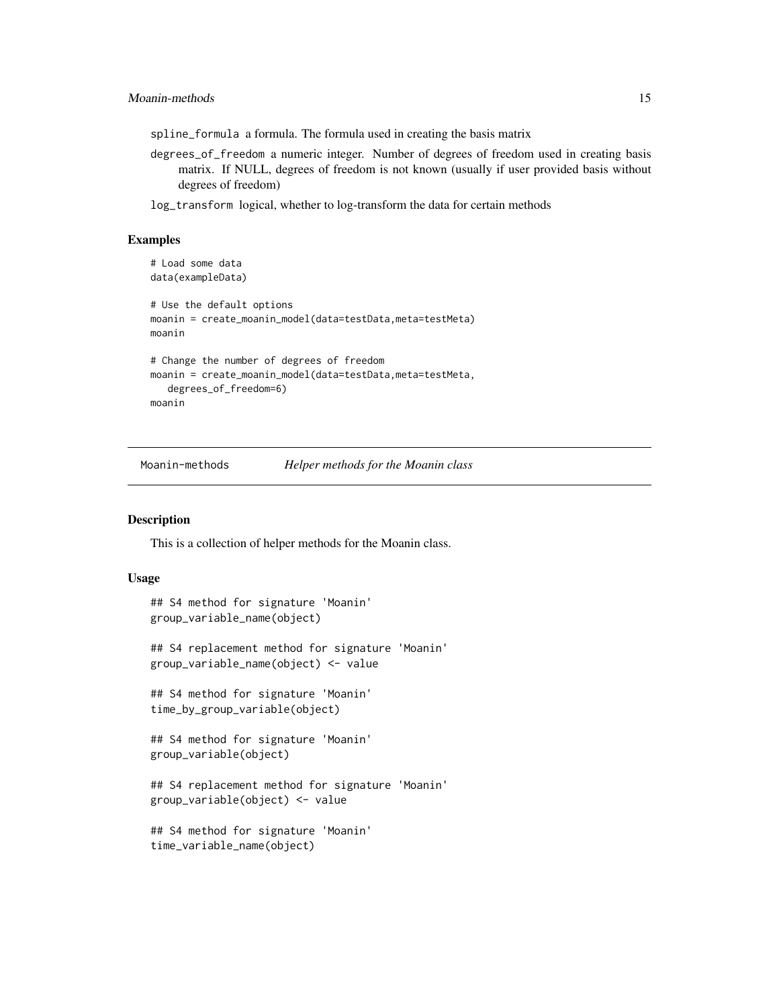<span id="page-14-0"></span>spline\_formula a formula. The formula used in creating the basis matrix

degrees\_of\_freedom a numeric integer. Number of degrees of freedom used in creating basis matrix. If NULL, degrees of freedom is not known (usually if user provided basis without degrees of freedom)

log\_transform logical, whether to log-transform the data for certain methods

#### Examples

```
# Load some data
data(exampleData)
# Use the default options
moanin = create_moanin_model(data=testData,meta=testMeta)
moanin
# Change the number of degrees of freedom
moanin = create_moanin_model(data=testData,meta=testMeta,
  degrees_of_freedom=6)
moanin
```
Moanin-methods *Helper methods for the Moanin class*

#### Description

This is a collection of helper methods for the Moanin class.

#### Usage

```
## S4 method for signature 'Moanin'
group_variable_name(object)
```

```
## S4 replacement method for signature 'Moanin'
group_variable_name(object) <- value
```
## S4 method for signature 'Moanin' time\_by\_group\_variable(object)

```
## S4 method for signature 'Moanin'
group_variable(object)
```

```
## S4 replacement method for signature 'Moanin'
group_variable(object) <- value
```

```
## S4 method for signature 'Moanin'
time_variable_name(object)
```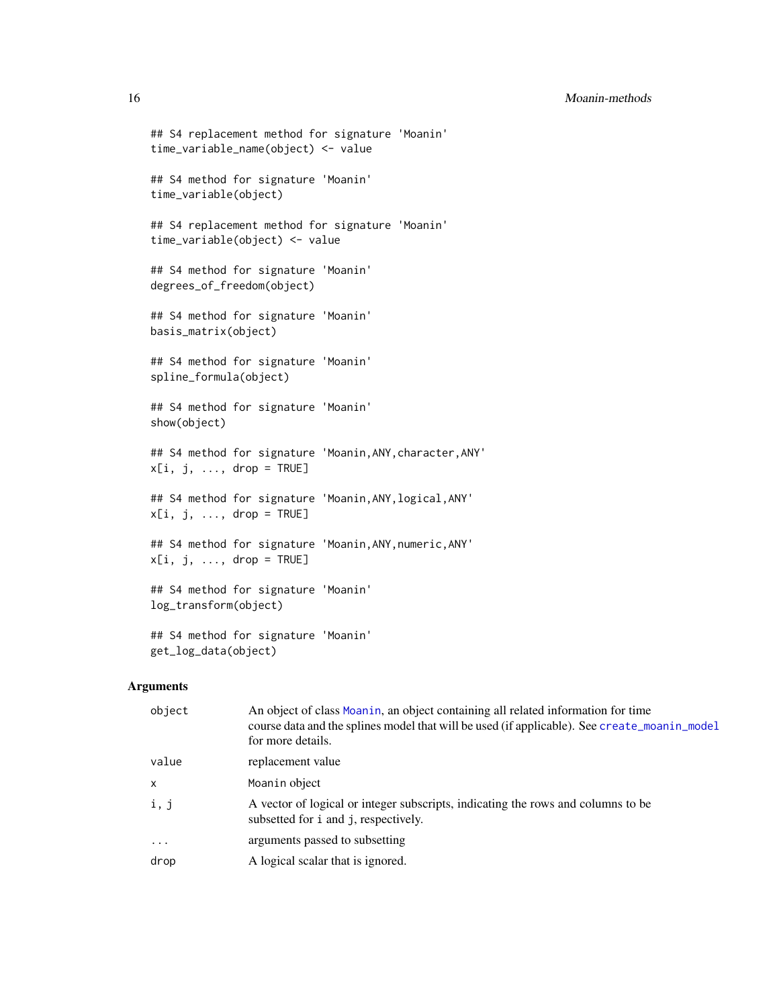```
## S4 replacement method for signature 'Moanin'
time_variable_name(object) <- value
## S4 method for signature 'Moanin'
time_variable(object)
## S4 replacement method for signature 'Moanin'
time_variable(object) <- value
## S4 method for signature 'Moanin'
degrees_of_freedom(object)
## S4 method for signature 'Moanin'
basis_matrix(object)
## S4 method for signature 'Moanin'
spline_formula(object)
## S4 method for signature 'Moanin'
show(object)
## S4 method for signature 'Moanin,ANY,character,ANY'
x[i, j, ..., drop = TRUE]## S4 method for signature 'Moanin,ANY,logical,ANY'
x[i, j, \ldots, drop = TRUE]## S4 method for signature 'Moanin,ANY,numeric,ANY'
x[i, j, ..., drop = TRUE]## S4 method for signature 'Moanin'
log_transform(object)
## S4 method for signature 'Moanin'
```
# Arguments

get\_log\_data(object)

| object                    | An object of class Moanin, an object containing all related information for time<br>course data and the splines model that will be used (if applicable). See create_moanin_model<br>for more details. |
|---------------------------|-------------------------------------------------------------------------------------------------------------------------------------------------------------------------------------------------------|
| value                     | replacement value                                                                                                                                                                                     |
| $\boldsymbol{\mathsf{x}}$ | Moanin object                                                                                                                                                                                         |
| i, j                      | A vector of logical or integer subscripts, indicating the rows and columns to be<br>subsetted for i and j, respectively.                                                                              |
| $\cdots$                  | arguments passed to subsetting                                                                                                                                                                        |
| drop                      | A logical scalar that is ignored.                                                                                                                                                                     |

<span id="page-15-0"></span>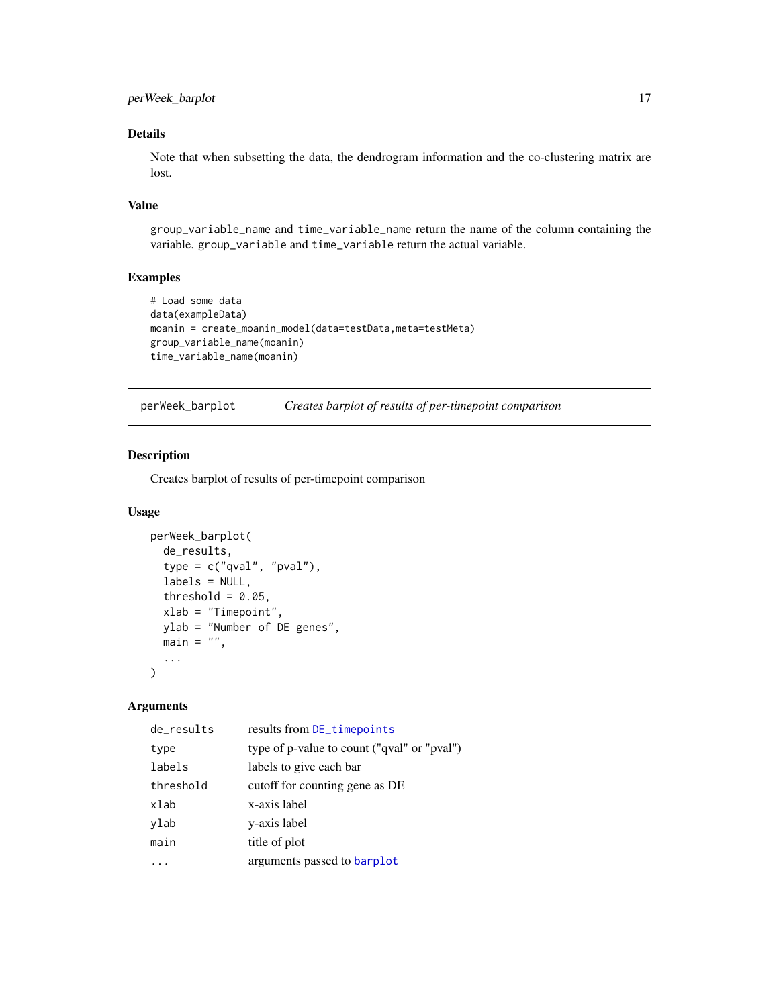<span id="page-16-0"></span>Note that when subsetting the data, the dendrogram information and the co-clustering matrix are lost.

# Value

group\_variable\_name and time\_variable\_name return the name of the column containing the variable. group\_variable and time\_variable return the actual variable.

# Examples

```
# Load some data
data(exampleData)
moanin = create_moanin_model(data=testData,meta=testMeta)
group_variable_name(moanin)
time_variable_name(moanin)
```

| perWeek_barplot | Creates barplot of results of per-timepoint comparison |  |  |
|-----------------|--------------------------------------------------------|--|--|
|-----------------|--------------------------------------------------------|--|--|

#### Description

Creates barplot of results of per-timepoint comparison

# Usage

```
perWeek_barplot(
 de_results,
  type = c("qval", "pval"),labels = NULL,
  threshold = 0.05,
 xlab = "Timepoint",
 ylab = "Number of DE genes",
 main = "",...
)
```

| de_results | results from DE_timepoints                  |
|------------|---------------------------------------------|
| type       | type of p-value to count ("qval" or "pval") |
| labels     | labels to give each bar                     |
| threshold  | cutoff for counting gene as DE              |
| xlab       | x-axis label                                |
| ylab       | y-axis label                                |
| main       | title of plot                               |
|            | arguments passed to barplot                 |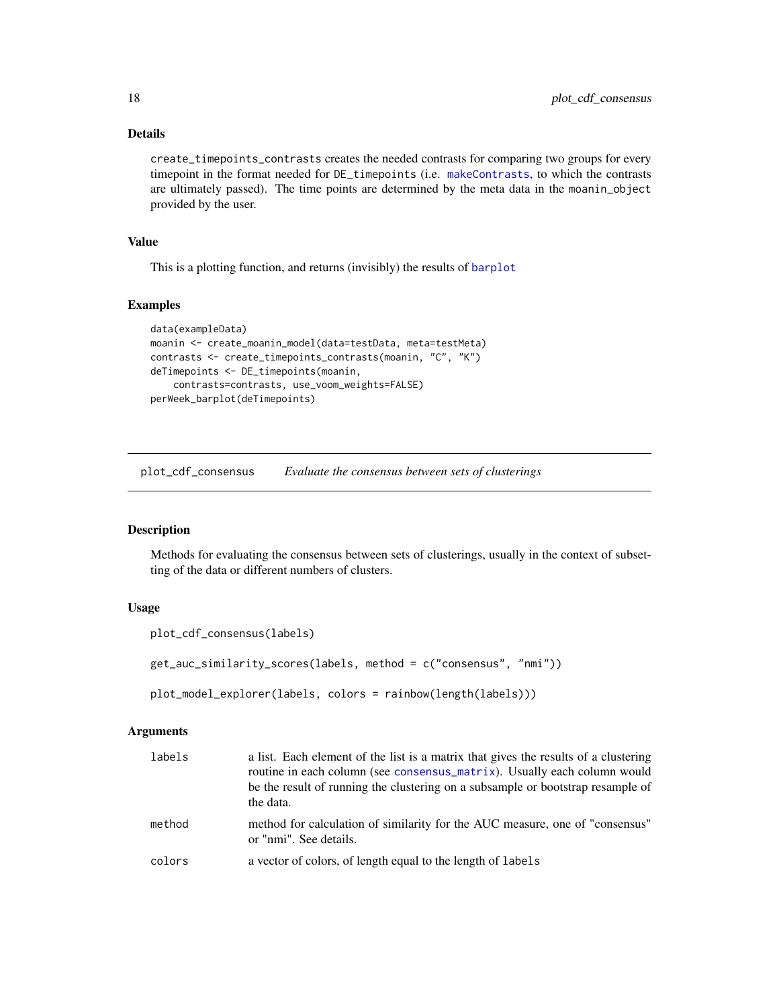create\_timepoints\_contrasts creates the needed contrasts for comparing two groups for every timepoint in the format needed for DE\_timepoints (i.e. [makeContrasts](#page-0-0), to which the contrasts are ultimately passed). The time points are determined by the meta data in the moanin\_object provided by the user.

#### Value

This is a plotting function, and returns (invisibly) the results of [barplot](#page-0-0)

#### Examples

```
data(exampleData)
moanin <- create_moanin_model(data=testData, meta=testMeta)
contrasts <- create_timepoints_contrasts(moanin, "C", "K")
deTimepoints <- DE_timepoints(moanin,
    contrasts=contrasts, use_voom_weights=FALSE)
perWeek_barplot(deTimepoints)
```
<span id="page-17-1"></span>plot\_cdf\_consensus *Evaluate the consensus between sets of clusterings*

# Description

Methods for evaluating the consensus between sets of clusterings, usually in the context of subsetting of the data or different numbers of clusters.

# Usage

```
plot_cdf_consensus(labels)
```
get\_auc\_similarity\_scores(labels, method = c("consensus", "nmi"))

plot\_model\_explorer(labels, colors = rainbow(length(labels)))

| labels | a list. Each element of the list is a matrix that gives the results of a clustering<br>routine in each column (see consensus_matrix). Usually each column would<br>be the result of running the clustering on a subsample or bootstrap resample of<br>the data. |
|--------|-----------------------------------------------------------------------------------------------------------------------------------------------------------------------------------------------------------------------------------------------------------------|
| method | method for calculation of similarity for the AUC measure, one of "consensus"<br>or "nmi". See details.                                                                                                                                                          |
| colors | a vector of colors, of length equal to the length of labels                                                                                                                                                                                                     |

<span id="page-17-0"></span>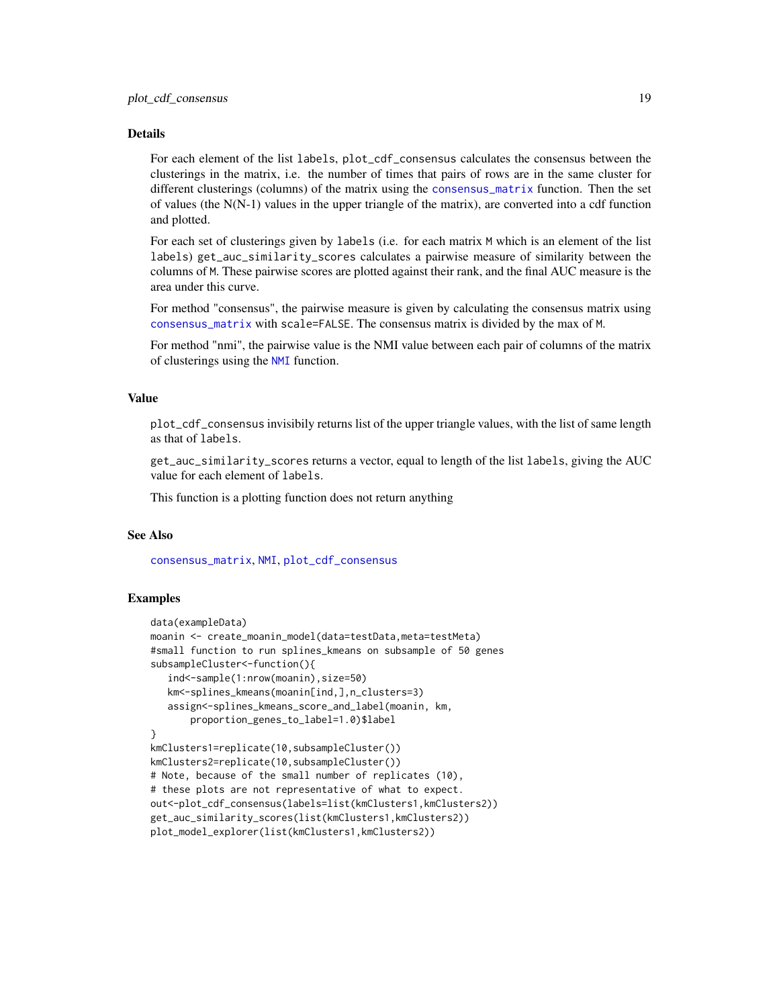<span id="page-18-0"></span>For each element of the list labels, plot\_cdf\_consensus calculates the consensus between the clusterings in the matrix, i.e. the number of times that pairs of rows are in the same cluster for different clusterings (columns) of the matrix using the [consensus\\_matrix](#page-1-1) function. Then the set of values (the N(N-1) values in the upper triangle of the matrix), are converted into a cdf function and plotted.

For each set of clusterings given by labels (i.e. for each matrix M which is an element of the list labels) get\_auc\_similarity\_scores calculates a pairwise measure of similarity between the columns of M. These pairwise scores are plotted against their rank, and the final AUC measure is the area under this curve.

For method "consensus", the pairwise measure is given by calculating the consensus matrix using [consensus\\_matrix](#page-1-1) with scale=FALSE. The consensus matrix is divided by the max of M.

For method "nmi", the pairwise value is the NMI value between each pair of columns of the matrix of clusterings using the [NMI](#page-0-0) function.

#### Value

plot\_cdf\_consensus invisibily returns list of the upper triangle values, with the list of same length as that of labels.

get\_auc\_similarity\_scores returns a vector, equal to length of the list labels, giving the AUC value for each element of labels.

This function is a plotting function does not return anything

#### See Also

[consensus\\_matrix](#page-1-1), [NMI](#page-0-0), [plot\\_cdf\\_consensus](#page-17-1)

#### Examples

```
data(exampleData)
moanin <- create_moanin_model(data=testData,meta=testMeta)
#small function to run splines_kmeans on subsample of 50 genes
subsampleCluster<-function(){
   ind<-sample(1:nrow(moanin),size=50)
   km<-splines_kmeans(moanin[ind,],n_clusters=3)
   assign<-splines_kmeans_score_and_label(moanin, km,
      proportion_genes_to_label=1.0)$label
}
kmClusters1=replicate(10,subsampleCluster())
kmClusters2=replicate(10,subsampleCluster())
# Note, because of the small number of replicates (10),
# these plots are not representative of what to expect.
out<-plot_cdf_consensus(labels=list(kmClusters1,kmClusters2))
get_auc_similarity_scores(list(kmClusters1,kmClusters2))
plot_model_explorer(list(kmClusters1,kmClusters2))
```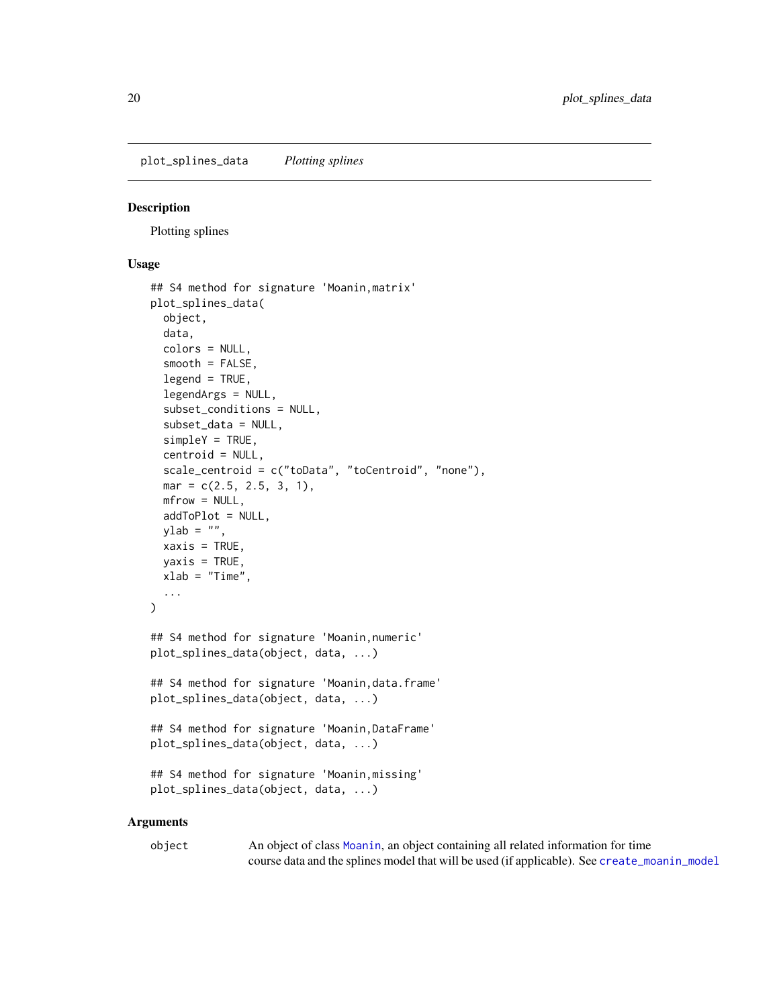<span id="page-19-0"></span>plot\_splines\_data *Plotting splines*

# Description

Plotting splines

# Usage

```
## S4 method for signature 'Moanin,matrix'
plot_splines_data(
  object,
  data,
  colors = NULL,
  smooth = FALSE,
  legend = TRUE,legendArgs = NULL,
  subset_conditions = NULL,
  subset_data = NULL,
  simpleY = TRUE,
  centroid = NULL,
  scale_centroid = c("toData", "toCentroid", "none"),
 mar = c(2.5, 2.5, 3, 1),
 mfrow = NULL,
  addToPlot = NULL,
 ylab = ",
  xaxis = TRUE,yaxis = TRUE,xlab = "Time",...
\mathcal{L}## S4 method for signature 'Moanin,numeric'
plot_splines_data(object, data, ...)
## S4 method for signature 'Moanin,data.frame'
plot_splines_data(object, data, ...)
## S4 method for signature 'Moanin,DataFrame'
plot_splines_data(object, data, ...)
## S4 method for signature 'Moanin,missing'
plot_splines_data(object, data, ...)
```

| object | An object of class Moanin, an object containing all related information for time             |
|--------|----------------------------------------------------------------------------------------------|
|        | course data and the splines model that will be used (if applicable). See create_moanin_model |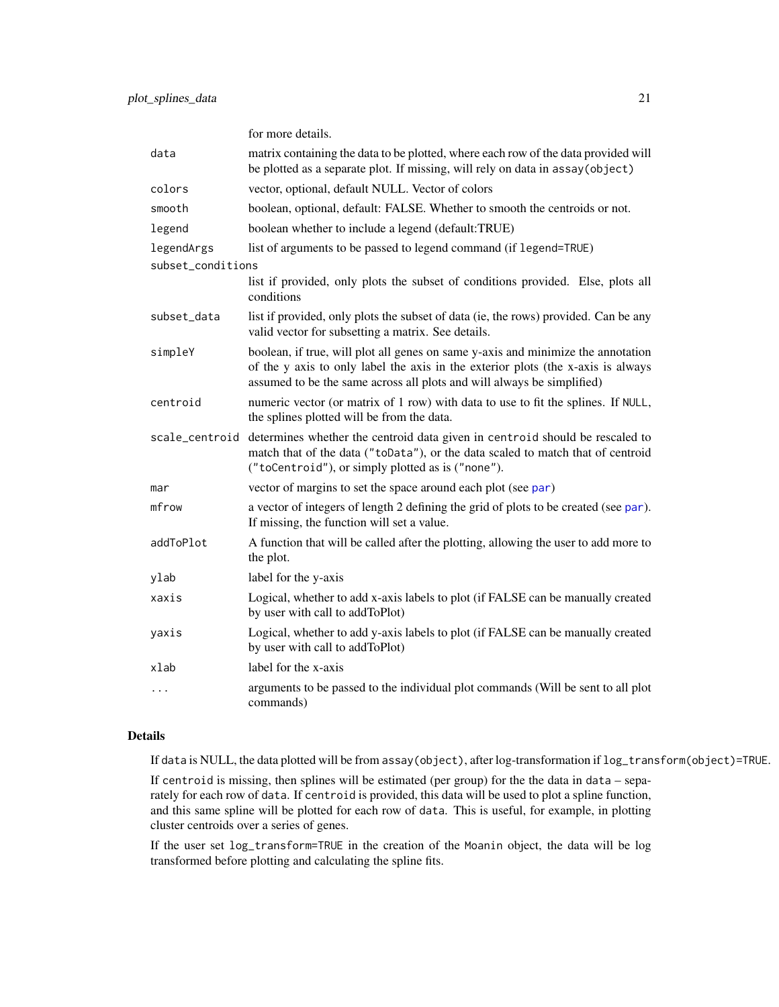<span id="page-20-0"></span>

|                   | for more details.                                                                                                                                                                                                                              |
|-------------------|------------------------------------------------------------------------------------------------------------------------------------------------------------------------------------------------------------------------------------------------|
| data              | matrix containing the data to be plotted, where each row of the data provided will<br>be plotted as a separate plot. If missing, will rely on data in assay (object)                                                                           |
| colors            | vector, optional, default NULL. Vector of colors                                                                                                                                                                                               |
| smooth            | boolean, optional, default: FALSE. Whether to smooth the centroids or not.                                                                                                                                                                     |
| legend            | boolean whether to include a legend (default:TRUE)                                                                                                                                                                                             |
| legendArgs        | list of arguments to be passed to legend command (if legend=TRUE)                                                                                                                                                                              |
| subset_conditions |                                                                                                                                                                                                                                                |
|                   | list if provided, only plots the subset of conditions provided. Else, plots all<br>conditions                                                                                                                                                  |
| subset_data       | list if provided, only plots the subset of data (ie, the rows) provided. Can be any<br>valid vector for subsetting a matrix. See details.                                                                                                      |
| simpleY           | boolean, if true, will plot all genes on same y-axis and minimize the annotation<br>of the y axis to only label the axis in the exterior plots (the x-axis is always<br>assumed to be the same across all plots and will always be simplified) |
| centroid          | numeric vector (or matrix of 1 row) with data to use to fit the splines. If NULL,<br>the splines plotted will be from the data.                                                                                                                |
| scale_centroid    | determines whether the centroid data given in centroid should be rescaled to<br>match that of the data ("toData"), or the data scaled to match that of centroid<br>("toCentroid"), or simply plotted as is ("none").                           |
| mar               | vector of margins to set the space around each plot (see par)                                                                                                                                                                                  |
| mfrow             | a vector of integers of length 2 defining the grid of plots to be created (see par).<br>If missing, the function will set a value.                                                                                                             |
| addToPlot         | A function that will be called after the plotting, allowing the user to add more to<br>the plot.                                                                                                                                               |
| ylab              | label for the y-axis                                                                                                                                                                                                                           |
| xaxis             | Logical, whether to add x-axis labels to plot (if FALSE can be manually created<br>by user with call to addToPlot)                                                                                                                             |
| yaxis             | Logical, whether to add y-axis labels to plot (if FALSE can be manually created<br>by user with call to addToPlot)                                                                                                                             |
| xlab              | label for the x-axis                                                                                                                                                                                                                           |
| $\cdots$          | arguments to be passed to the individual plot commands (Will be sent to all plot<br>commands)                                                                                                                                                  |

If data is NULL, the data plotted will be from assay(object), after log-transformation if log\_transform(object)=TRUE.

If centroid is missing, then splines will be estimated (per group) for the the data in data – separately for each row of data. If centroid is provided, this data will be used to plot a spline function, and this same spline will be plotted for each row of data. This is useful, for example, in plotting cluster centroids over a series of genes.

If the user set log\_transform=TRUE in the creation of the Moanin object, the data will be log transformed before plotting and calculating the spline fits.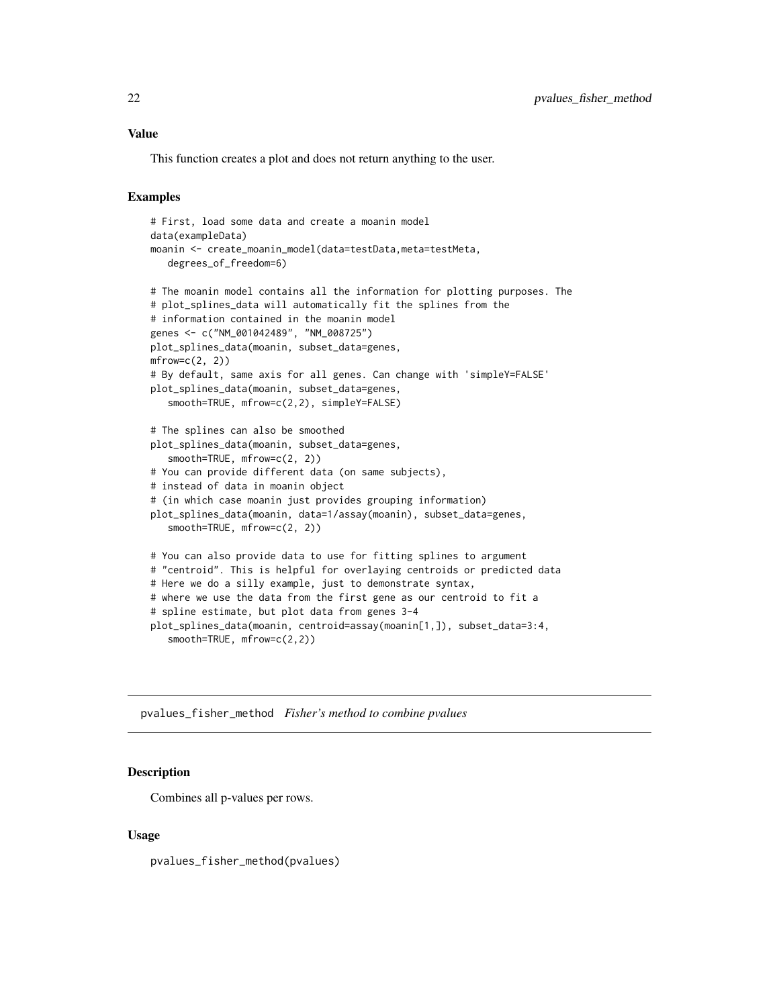# <span id="page-21-0"></span>Value

This function creates a plot and does not return anything to the user.

### Examples

```
# First, load some data and create a moanin model
data(exampleData)
moanin <- create_moanin_model(data=testData,meta=testMeta,
   degrees_of_freedom=6)
# The moanin model contains all the information for plotting purposes. The
# plot_splines_data will automatically fit the splines from the
# information contained in the moanin model
genes <- c("NM_001042489", "NM_008725")
plot_splines_data(moanin, subset_data=genes,
mfrow=c(2, 2)# By default, same axis for all genes. Can change with 'simpleY=FALSE'
plot_splines_data(moanin, subset_data=genes,
   smooth=TRUE, mfrow=c(2,2), simpleY=FALSE)
# The splines can also be smoothed
plot_splines_data(moanin, subset_data=genes,
   smooth=TRUE, mfrow=c(2, 2))
# You can provide different data (on same subjects),
# instead of data in moanin object
# (in which case moanin just provides grouping information)
plot_splines_data(moanin, data=1/assay(moanin), subset_data=genes,
   smooth=TRUE, mfrow=c(2, 2))
# You can also provide data to use for fitting splines to argument
# "centroid". This is helpful for overlaying centroids or predicted data
# Here we do a silly example, just to demonstrate syntax,
# where we use the data from the first gene as our centroid to fit a
# spline estimate, but plot data from genes 3-4
plot_splines_data(moanin, centroid=assay(moanin[1,]), subset_data=3:4,
   smooth=TRUE, mfrow=c(2,2))
```
pvalues\_fisher\_method *Fisher's method to combine pvalues*

#### Description

Combines all p-values per rows.

#### Usage

pvalues\_fisher\_method(pvalues)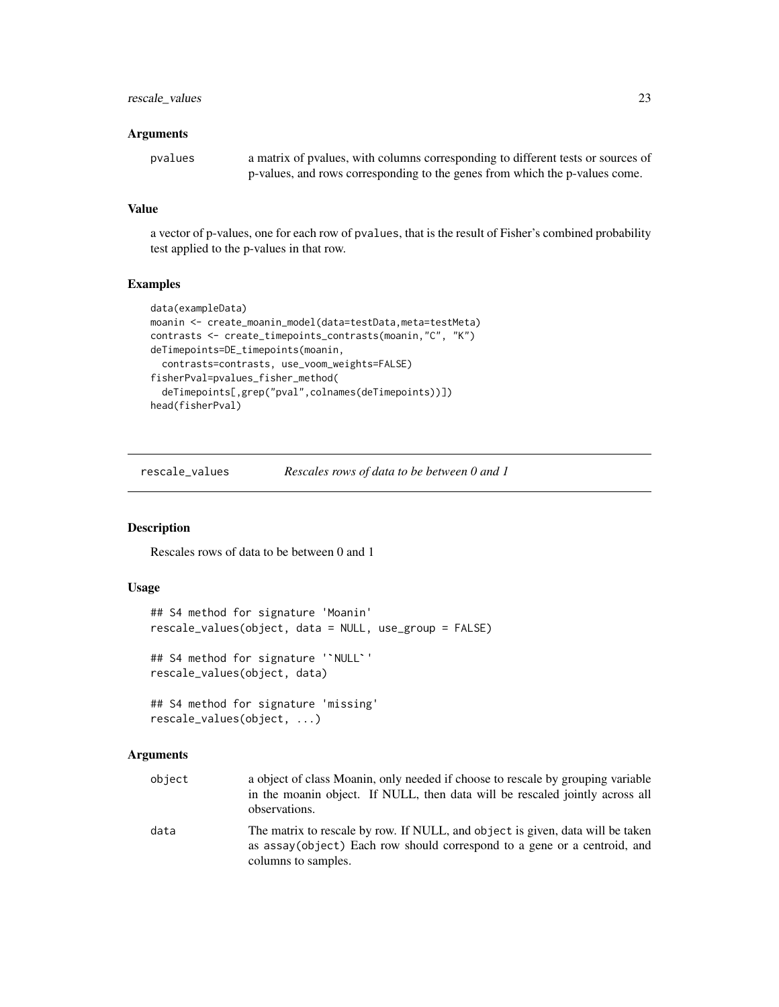# <span id="page-22-0"></span>rescale\_values 23

#### **Arguments**

| pvalues | a matrix of pyalues, with columns corresponding to different tests or sources of |
|---------|----------------------------------------------------------------------------------|
|         | p-values, and rows corresponding to the genes from which the p-values come.      |

# Value

a vector of p-values, one for each row of pvalues, that is the result of Fisher's combined probability test applied to the p-values in that row.

#### Examples

```
data(exampleData)
moanin <- create_moanin_model(data=testData,meta=testMeta)
contrasts <- create_timepoints_contrasts(moanin,"C", "K")
deTimepoints=DE_timepoints(moanin,
  contrasts=contrasts, use_voom_weights=FALSE)
fisherPval=pvalues_fisher_method(
  deTimepoints[,grep("pval",colnames(deTimepoints))])
head(fisherPval)
```
rescale\_values *Rescales rows of data to be between 0 and 1*

# Description

Rescales rows of data to be between 0 and 1

# Usage

```
## S4 method for signature 'Moanin'
rescale_values(object, data = NULL, use_group = FALSE)
## S4 method for signature '`NULL`'
rescale_values(object, data)
## S4 method for signature 'missing'
rescale_values(object, ...)
```

| object | a object of class Moanin, only needed if choose to rescale by grouping variable<br>in the moanin object. If NULL, then data will be rescaled jointly across all<br>observations.  |
|--------|-----------------------------------------------------------------------------------------------------------------------------------------------------------------------------------|
| data   | The matrix to rescale by row. If NULL, and object is given, data will be taken<br>as assay(object) Each row should correspond to a gene or a centroid, and<br>columns to samples. |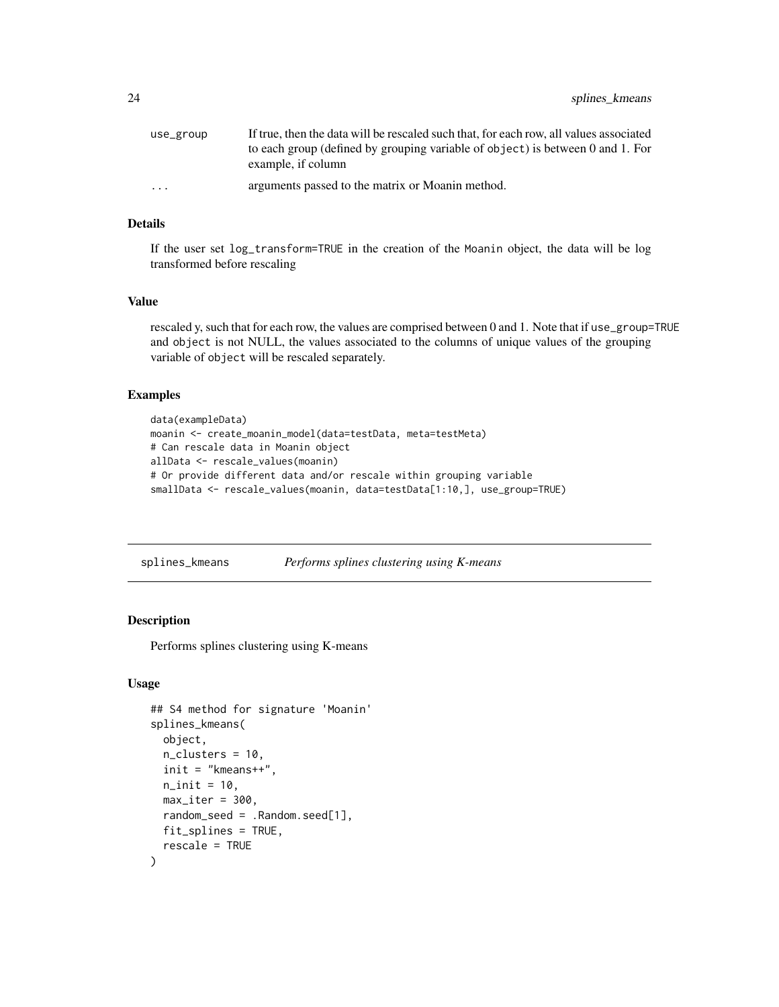<span id="page-23-0"></span>

| use_group               | If true, then the data will be rescaled such that, for each row, all values associated               |
|-------------------------|------------------------------------------------------------------------------------------------------|
|                         | to each group (defined by grouping variable of object) is between 0 and 1. For<br>example, if column |
| $\cdot$ $\cdot$ $\cdot$ | arguments passed to the matrix or Moanin method.                                                     |

If the user set log\_transform=TRUE in the creation of the Moanin object, the data will be log transformed before rescaling

#### Value

rescaled y, such that for each row, the values are comprised between 0 and 1. Note that if use\_group=TRUE and object is not NULL, the values associated to the columns of unique values of the grouping variable of object will be rescaled separately.

#### Examples

```
data(exampleData)
moanin <- create_moanin_model(data=testData, meta=testMeta)
# Can rescale data in Moanin object
allData <- rescale_values(moanin)
# Or provide different data and/or rescale within grouping variable
smallData <- rescale_values(moanin, data=testData[1:10,], use_group=TRUE)
```
<span id="page-23-1"></span>splines\_kmeans *Performs splines clustering using K-means*

# **Description**

Performs splines clustering using K-means

#### Usage

```
## S4 method for signature 'Moanin'
splines_kmeans(
 object,
  n_clusters = 10,
  init = "kmeans++",
  n_init = 10,
 max\_iter = 300,
 random_seed = .Random.seed[1],
 fit_splines = TRUE,
  rescale = TRUE
)
```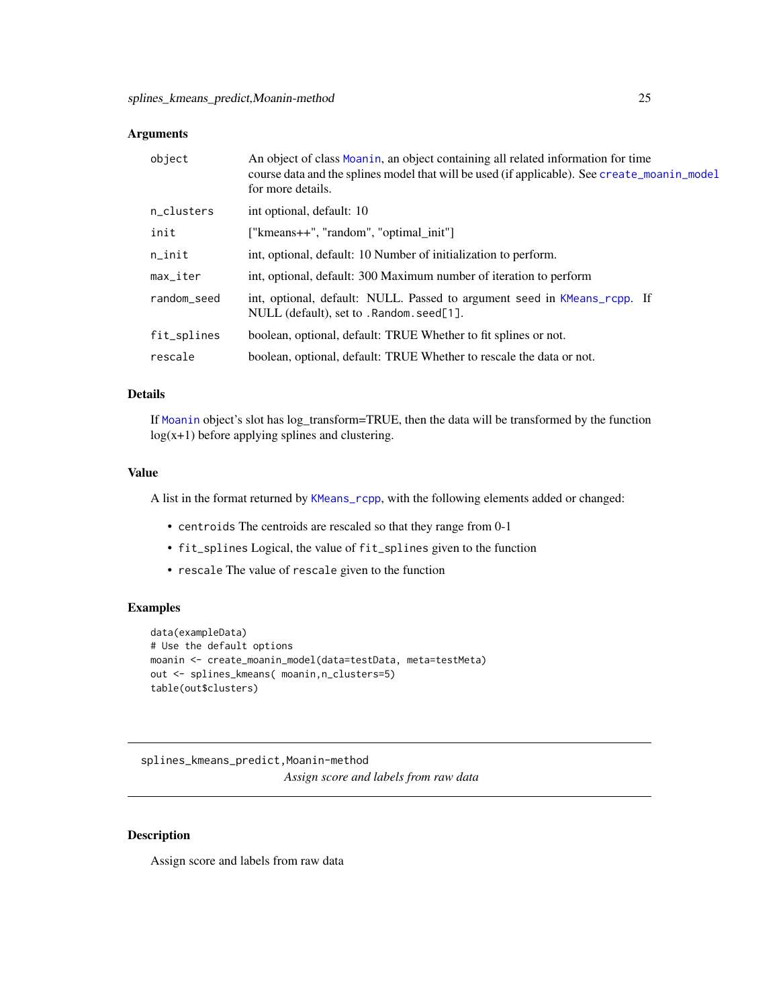# <span id="page-24-0"></span>Arguments

| object      | An object of class Moanin, an object containing all related information for time<br>course data and the splines model that will be used (if applicable). See create_moanin_model<br>for more details. |
|-------------|-------------------------------------------------------------------------------------------------------------------------------------------------------------------------------------------------------|
| n_clusters  | int optional, default: 10                                                                                                                                                                             |
| init        | ["kmeans++", "random", "optimal_init"]                                                                                                                                                                |
| n_init      | int, optional, default: 10 Number of initialization to perform.                                                                                                                                       |
| max_iter    | int, optional, default: 300 Maximum number of iteration to perform                                                                                                                                    |
| random_seed | int, optional, default: NULL. Passed to argument seed in KMeans_rcpp. If<br>NULL (default), set to . Random. seed[1].                                                                                 |
| fit_splines | boolean, optional, default: TRUE Whether to fit splines or not.                                                                                                                                       |
| rescale     | boolean, optional, default: TRUE Whether to rescale the data or not.                                                                                                                                  |

# Details

If [Moanin](#page-12-1) object's slot has log\_transform=TRUE, then the data will be transformed by the function  $log(x+1)$  before applying splines and clustering.

#### Value

A list in the format returned by [KMeans\\_rcpp](#page-0-0), with the following elements added or changed:

- centroids The centroids are rescaled so that they range from 0-1
- fit\_splines Logical, the value of fit\_splines given to the function
- rescale The value of rescale given to the function

# Examples

```
data(exampleData)
# Use the default options
moanin <- create_moanin_model(data=testData, meta=testMeta)
out <- splines_kmeans( moanin,n_clusters=5)
table(out$clusters)
```
splines\_kmeans\_predict,Moanin-method *Assign score and labels from raw data*

# Description

Assign score and labels from raw data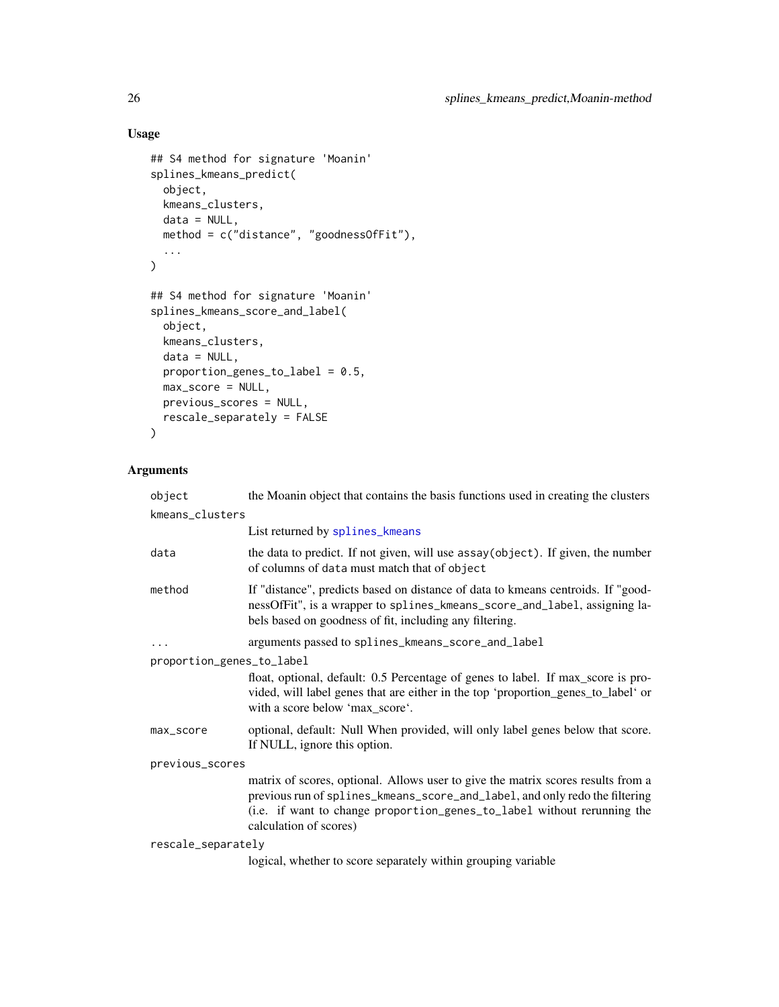# Usage

```
## S4 method for signature 'Moanin'
splines_kmeans_predict(
 object,
 kmeans_clusters,
 data = NULL,method = c("distance", "goodnessOfFit"),
  ...
\mathcal{L}## S4 method for signature 'Moanin'
splines_kmeans_score_and_label(
 object,
 kmeans_clusters,
 data = NULL,proportion_genes_to_label = 0.5,
 max_score = NULL,
 previous_scores = NULL,
 rescale_separately = FALSE
\mathcal{L}
```

| object                    | the Moanin object that contains the basis functions used in creating the clusters                                                                                                                                                                                    |
|---------------------------|----------------------------------------------------------------------------------------------------------------------------------------------------------------------------------------------------------------------------------------------------------------------|
| kmeans_clusters           |                                                                                                                                                                                                                                                                      |
|                           | List returned by splines_kmeans                                                                                                                                                                                                                                      |
| data                      | the data to predict. If not given, will use assay(object). If given, the number<br>of columns of data must match that of object                                                                                                                                      |
| method                    | If "distance", predicts based on distance of data to kmeans centroids. If "good-<br>nessOfFit", is a wrapper to splines_kmeans_score_and_label, assigning la-<br>bels based on goodness of fit, including any filtering.                                             |
|                           | arguments passed to splines_kmeans_score_and_label                                                                                                                                                                                                                   |
| proportion_genes_to_label |                                                                                                                                                                                                                                                                      |
|                           | float, optional, default: 0.5 Percentage of genes to label. If max_score is pro-<br>vided, will label genes that are either in the top 'proportion_genes_to_label' or<br>with a score below 'max_score'.                                                             |
| max_score                 | optional, default: Null When provided, will only label genes below that score.<br>If NULL, ignore this option.                                                                                                                                                       |
| previous_scores           |                                                                                                                                                                                                                                                                      |
|                           | matrix of scores, optional. Allows user to give the matrix scores results from a<br>previous run of splines_kmeans_score_and_label, and only redo the filtering<br>(i.e. if want to change proportion_genes_to_label without rerunning the<br>calculation of scores) |
| rescale_separately        |                                                                                                                                                                                                                                                                      |
|                           | logical, whether to score separately within grouping variable                                                                                                                                                                                                        |

<span id="page-25-0"></span>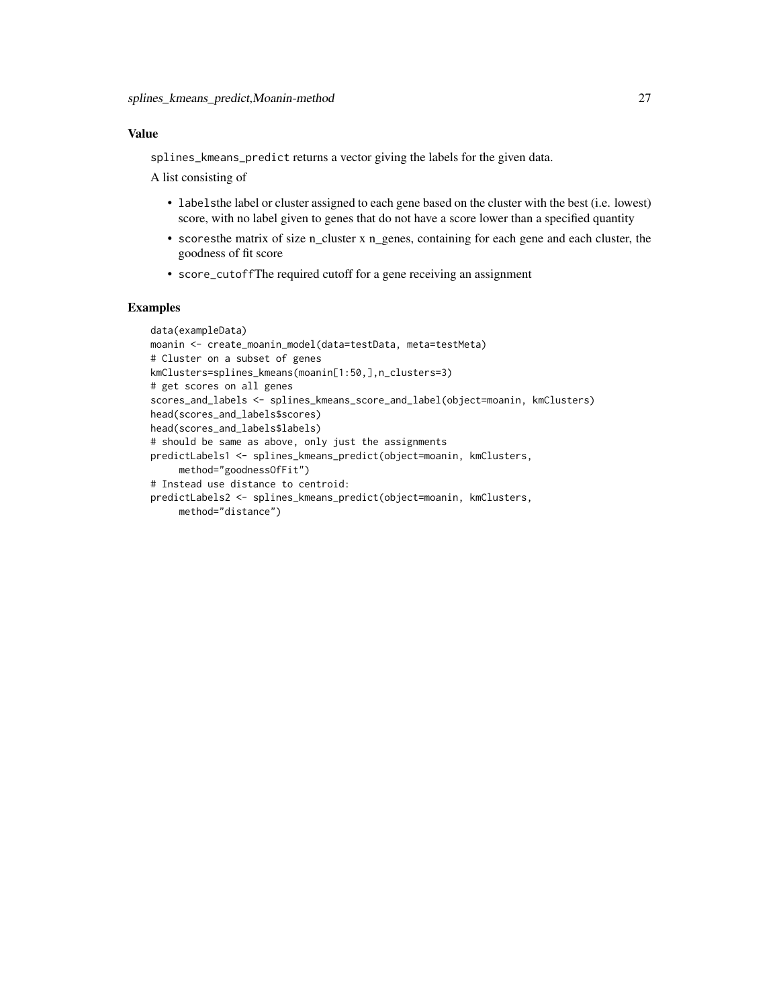# Value

splines\_kmeans\_predict returns a vector giving the labels for the given data.

A list consisting of

- labelsthe label or cluster assigned to each gene based on the cluster with the best (i.e. lowest) score, with no label given to genes that do not have a score lower than a specified quantity
- scoresthe matrix of size n\_cluster x n\_genes, containing for each gene and each cluster, the goodness of fit score
- score\_cutoffThe required cutoff for a gene receiving an assignment

# Examples

```
data(exampleData)
moanin <- create_moanin_model(data=testData, meta=testMeta)
# Cluster on a subset of genes
kmClusters=splines_kmeans(moanin[1:50,],n_clusters=3)
# get scores on all genes
scores_and_labels <- splines_kmeans_score_and_label(object=moanin, kmClusters)
head(scores_and_labels$scores)
head(scores_and_labels$labels)
# should be same as above, only just the assignments
predictLabels1 <- splines_kmeans_predict(object=moanin, kmClusters,
     method="goodnessOfFit")
# Instead use distance to centroid:
predictLabels2 <- splines_kmeans_predict(object=moanin, kmClusters,
    method="distance")
```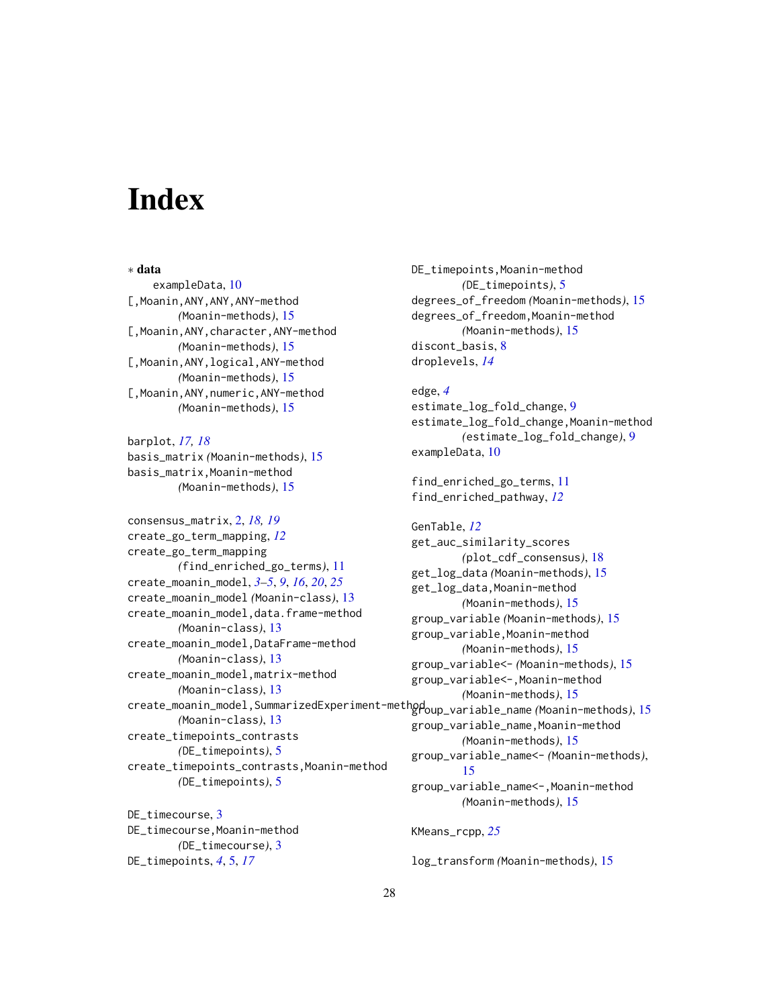# <span id="page-27-0"></span>**Index**

∗ data exampleData, [10](#page-9-0) [, Moanin, ANY, ANY, ANY-method *(*Moanin-methods*)*, [15](#page-14-0) [,Moanin,ANY,character,ANY-method *(*Moanin-methods*)*, [15](#page-14-0) [, Moanin, ANY, logical, ANY-method *(*Moanin-methods*)*, [15](#page-14-0) [,Moanin,ANY,numeric,ANY-method *(*Moanin-methods*)*, [15](#page-14-0)

barplot, *[17,](#page-16-0) [18](#page-17-0)* basis\_matrix *(*Moanin-methods*)*, [15](#page-14-0) basis\_matrix,Moanin-method *(*Moanin-methods*)*, [15](#page-14-0)

consensus\_matrix, [2,](#page-1-0) *[18,](#page-17-0) [19](#page-18-0)* create\_go\_term\_mapping, *[12](#page-11-0)* create\_go\_term\_mapping *(*find\_enriched\_go\_terms*)*, [11](#page-10-0) create\_moanin\_model, *[3–](#page-2-0)[5](#page-4-0)*, *[9](#page-8-0)*, *[16](#page-15-0)*, *[20](#page-19-0)*, *[25](#page-24-0)* create\_moanin\_model *(*Moanin-class*)*, [13](#page-12-0) create\_moanin\_model,data.frame-method *(*Moanin-class*)*, [13](#page-12-0) create\_moanin\_model,DataFrame-method *(*Moanin-class*)*, [13](#page-12-0) create\_moanin\_model,matrix-method *(*Moanin-class*)*, [13](#page-12-0) create\_moanin\_model,SummarizedExperiment-method group\_variable\_name *(*Moanin-methods*)*, [15](#page-14-0) *(*Moanin-class*)*, [13](#page-12-0) create\_timepoints\_contrasts *(*DE\_timepoints*)*, [5](#page-4-0) create\_timepoints\_contrasts,Moanin-method *(*DE\_timepoints*)*, [5](#page-4-0)

DE\_timecourse, [3](#page-2-0) DE\_timecourse,Moanin-method *(*DE\_timecourse*)*, [3](#page-2-0) DE\_timepoints, *[4](#page-3-0)*, [5,](#page-4-0) *[17](#page-16-0)*

DE\_timepoints,Moanin-method *(*DE\_timepoints*)*, [5](#page-4-0) degrees\_of\_freedom *(*Moanin-methods*)*, [15](#page-14-0) degrees\_of\_freedom,Moanin-method *(*Moanin-methods*)*, [15](#page-14-0) discont basis. [8](#page-7-0) droplevels, *[14](#page-13-0)*

edge, *[4](#page-3-0)* estimate\_log\_fold\_change, [9](#page-8-0) estimate\_log\_fold\_change,Moanin-method *(*estimate\_log\_fold\_change*)*, [9](#page-8-0) exampleData, [10](#page-9-0)

find\_enriched\_go\_terms, [11](#page-10-0) find\_enriched\_pathway, *[12](#page-11-0)*

GenTable, *[12](#page-11-0)* get\_auc\_similarity\_scores *(*plot\_cdf\_consensus*)*, [18](#page-17-0) get\_log\_data *(*Moanin-methods*)*, [15](#page-14-0) get\_log\_data,Moanin-method *(*Moanin-methods*)*, [15](#page-14-0) group\_variable *(*Moanin-methods*)*, [15](#page-14-0) group\_variable,Moanin-method *(*Moanin-methods*)*, [15](#page-14-0) group\_variable<- *(*Moanin-methods*)*, [15](#page-14-0) group\_variable<-,Moanin-method *(*Moanin-methods*)*, [15](#page-14-0) group\_variable\_name,Moanin-method *(*Moanin-methods*)*, [15](#page-14-0) group\_variable\_name<- *(*Moanin-methods*)*, [15](#page-14-0) group\_variable\_name<-,Moanin-method *(*Moanin-methods*)*, [15](#page-14-0) KMeans\_rcpp, *[25](#page-24-0)*

log\_transform *(*Moanin-methods*)*, [15](#page-14-0)